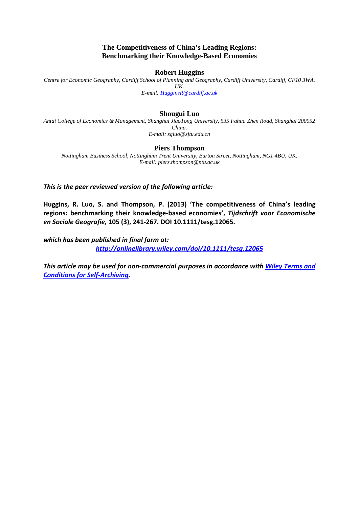## **The Competitiveness of China's Leading Regions: Benchmarking their Knowledge-Based Economies**

## **Robert Huggins**

*Centre for Economic Geography, Cardiff School of Planning and Geography, Cardiff University, Cardiff, CF10 3WA, UK. E-mail: [HugginsR@cardiff.ac.uk](mailto:HugginsR@cardiff.ac.uk)*

## **Shougui Luo**

*Antai College of Economics & Management, Shanghai JiaoTong University, 535 Fahua Zhen Road, Shanghai 200052 China. E-mail: sgluo@sjtu.edu.cn*

## **Piers Thompson**

*Nottingham Business School, Nottingham Trent University, Burton Street, Nottingham, NG1 4BU, UK. E-mail: piers.thompson@ntu.ac.uk*

*This is the peer reviewed version of the following article:* 

**Huggins, R. Luo, S. and Thompson, P. (2013) 'The competitiveness of China's leading regions: benchmarking their knowledge-based economies',** *Tijdschrift voor Economische en Sociale Geografie,* **105 (3), 241-267. DOI 10.1111/tesg.12065.**

*which has been published in final form at:*

*<http://onlinelibrary.wiley.com/doi/10.1111/tesg.12065>*

*This article may be used for non-commercial purposes in accordance with [Wiley Terms and](http://olabout.wiley.com/WileyCDA/Section/id-820227.html%23terms)  [Conditions for Self-Archiving.](http://olabout.wiley.com/WileyCDA/Section/id-820227.html%23terms)*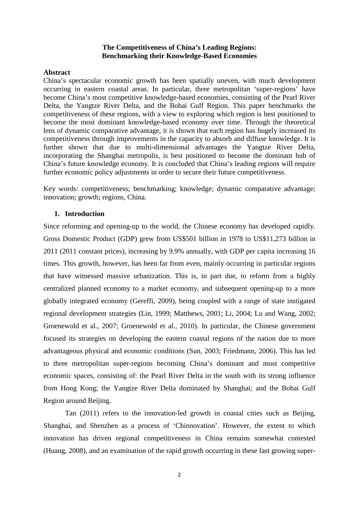## **The Competitiveness of China's Leading Regions: Benchmarking their Knowledge-Based Economies**

## **Abstract**

China's spectacular economic growth has been spatially uneven, with much development occurring in eastern coastal areas. In particular, three metropolitan 'super-regions' have become China's most competitive knowledge-based economies, consisting of the Pearl River Delta, the Yangtze River Delta, and the Bohai Gulf Region. This paper benchmarks the competitiveness of these regions, with a view to exploring which region is best positioned to become the most dominant knowledge-based economy over time. Through the theoretical lens of dynamic comparative advantage, it is shown that each region has hugely increased its competitiveness through improvements in the capacity to absorb and diffuse knowledge. It is further shown that due to multi-dimensional advantages the Yangtze River Delta, incorporating the Shanghai metropolis, is best positioned to become the dominant hub of China's future knowledge economy. It is concluded that China's leading regions will require further economic policy adjustments in order to secure their future competitiveness.

Key words: competitiveness; benchmarking; knowledge; dynamic comparative advantage; innovation; growth; regions, China.

## **1. Introduction**

Since reforming and opening-up to the world, the Chinese economy has developed rapidly. Gross Domestic Product (GDP) grew from US\$501 billion in 1978 to US\$11,273 billion in 2011 (2011 constant prices), increasing by 9.9% annually, with GDP per capita increasing 16 times. This growth, however, has been far from even, mainly occurring in particular regions that have witnessed massive urbanization. This is, in part due, to reform from a highly centralized planned economy to a market economy, and subsequent opening-up to a more globally integrated economy (Gereffi, 2009), being coupled with a range of state instigated regional development strategies (Lin, 1999; Matthews, 2001; Li, 2004; Lu and Wang, 2002; Groenewold et al., 2007; Groenewold et al., 2010). In particular, the Chinese government focused its strategies on developing the eastern coastal regions of the nation due to more advantageous physical and economic conditions (Sun, 2003; Friedmann, 2006). This has led to three metropolitan super-regions becoming China's dominant and most competitive economic spaces, consisting of: the Pearl River Delta in the south with its strong influence from Hong Kong; the Yangtze River Delta dominated by Shanghai; and the Bohai Gulf Region around Beijing.

Tan (2011) refers to the innovation-led growth in coastal cities such as Beijing, Shanghai, and Shenzhen as a process of 'Chinnovation'. However, the extent to which innovation has driven regional competitiveness in China remains somewhat contested (Huang, 2008), and an examination of the rapid growth occurring in these fast growing super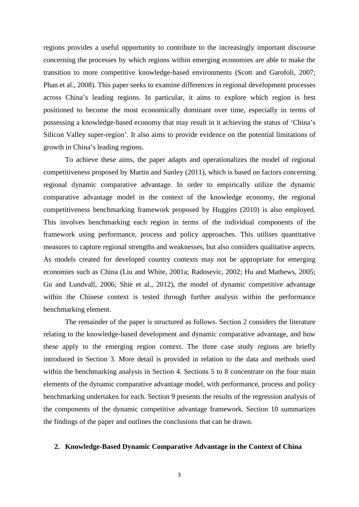regions provides a useful opportunity to contribute to the increasingly important discourse concerning the processes by which regions within emerging economies are able to make the transition to more competitive knowledge-based environments (Scott and Garofoli, 2007; Phan et al., 2008). This paper seeks to examine differences in regional development processes across China's leading regions. In particular, it aims to explore which region is best positioned to become the most economically dominant over time, especially in terms of possessing a knowledge-based economy that may result in it achieving the status of 'China's Silicon Valley super-region'. It also aims to provide evidence on the potential limitations of growth in China's leading regions.

To achieve these aims, the paper adapts and operationalizes the model of regional competitiveness proposed by Martin and Sunley (2011), which is based on factors concerning regional dynamic comparative advantage. In order to empirically utilize the dynamic comparative advantage model in the context of the knowledge economy, the regional competitiveness benchmarking framework proposed by Huggins (2010) is also employed. This involves benchmarking each region in terms of the individual components of the framework using performance, process and policy approaches. This utilises quantitative measures to capture regional strengths and weaknesses, but also considers qualitative aspects. As models created for developed country contexts may not be appropriate for emerging economies such as China (Liu and White, 2001a; Radosevic, 2002; Hu and Mathews, 2005; Gu and Lundvall, 2006; Shie et al., 2012), the model of dynamic competitive advantage within the Chinese context is tested through further analysis within the performance benchmarking element.

The remainder of the paper is structured as follows. Section 2 considers the literature relating to the knowledge-based development and dynamic comparative advantage, and how these apply to the emerging region context. The three case study regions are briefly introduced in Section 3. More detail is provided in relation to the data and methods used within the benchmarking analysis in Section 4. Sections 5 to 8 concentrate on the four main elements of the dynamic comparative advantage model, with performance, process and policy benchmarking undertaken for each. Section 9 presents the results of the regression analysis of the components of the dynamic competitive advantage framework. Section 10 summarizes the findings of the paper and outlines the conclusions that can be drawn.

## **2. Knowledge-Based Dynamic Comparative Advantage in the Context of China**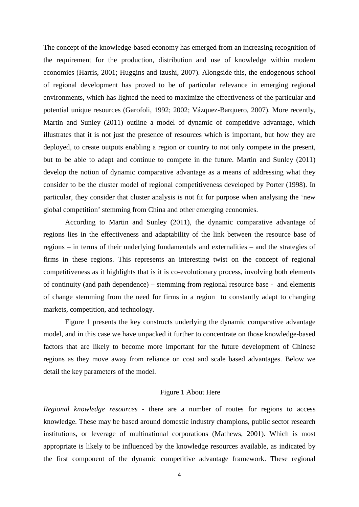The concept of the knowledge-based economy has emerged from an increasing recognition of the requirement for the production, distribution and use of knowledge within modern economies (Harris, 2001; Huggins and Izushi, 2007). Alongside this, the endogenous school of regional development has proved to be of particular relevance in emerging regional environments, which has lighted the need to maximize the effectiveness of the particular and potential unique resources (Garofoli, 1992; 2002; Vázquez-Barquero, 2007). More recently, Martin and Sunley (2011) outline a model of dynamic of competitive advantage, which illustrates that it is not just the presence of resources which is important, but how they are deployed, to create outputs enabling a region or country to not only compete in the present, but to be able to adapt and continue to compete in the future. Martin and Sunley (2011) develop the notion of dynamic comparative advantage as a means of addressing what they consider to be the cluster model of regional competitiveness developed by Porter (1998). In particular, they consider that cluster analysis is not fit for purpose when analysing the 'new global competition' stemming from China and other emerging economies.

According to Martin and Sunley (2011), the dynamic comparative advantage of regions lies in the effectiveness and adaptability of the link between the resource base of regions – in terms of their underlying fundamentals and externalities – and the strategies of firms in these regions. This represents an interesting twist on the concept of regional competitiveness as it highlights that is it is co-evolutionary process, involving both elements of continuity (and path dependence) – stemming from regional resource base - and elements of change stemming from the need for firms in a region to constantly adapt to changing markets, competition, and technology.

Figure 1 presents the key constructs underlying the dynamic comparative advantage model, and in this case we have unpacked it further to concentrate on those knowledge-based factors that are likely to become more important for the future development of Chinese regions as they move away from reliance on cost and scale based advantages. Below we detail the key parameters of the model.

## Figure 1 About Here

*Regional knowledge resources* - there are a number of routes for regions to access knowledge. These may be based around domestic industry champions, public sector research institutions, or leverage of multinational corporations (Mathews, 2001). Which is most appropriate is likely to be influenced by the knowledge resources available, as indicated by the first component of the dynamic competitive advantage framework. These regional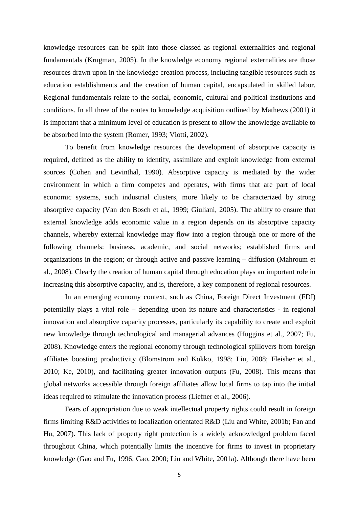knowledge resources can be split into those classed as regional externalities and regional fundamentals (Krugman, 2005). In the knowledge economy regional externalities are those resources drawn upon in the knowledge creation process, including tangible resources such as education establishments and the creation of human capital, encapsulated in skilled labor. Regional fundamentals relate to the social, economic, cultural and political institutions and conditions. In all three of the routes to knowledge acquisition outlined by Mathews (2001) it is important that a minimum level of education is present to allow the knowledge available to be absorbed into the system (Romer, 1993; Viotti, 2002).

To benefit from knowledge resources the development of absorptive capacity is required, defined as the ability to identify, assimilate and exploit knowledge from external sources (Cohen and Levinthal, 1990). Absorptive capacity is mediated by the wider environment in which a firm competes and operates, with firms that are part of local economic systems, such industrial clusters, more likely to be characterized by strong absorptive capacity (Van den Bosch et al., 1999; Giuliani, 2005). The ability to ensure that external knowledge adds economic value in a region depends on its absorptive capacity channels, whereby external knowledge may flow into a region through one or more of the following channels: business, academic, and social networks; established firms and organizations in the region; or through active and passive learning – diffusion (Mahroum et al., 2008). Clearly the creation of human capital through education plays an important role in increasing this absorptive capacity, and is, therefore, a key component of regional resources.

In an emerging economy context, such as China, Foreign Direct Investment (FDI) potentially plays a vital role – depending upon its nature and characteristics - in regional innovation and absorptive capacity processes, particularly its capability to create and exploit new knowledge through technological and managerial advances (Huggins et al., 2007; Fu, 2008). Knowledge enters the regional economy through technological spillovers from foreign affiliates boosting productivity (Blomstrom and Kokko, 1998; Liu, 2008; Fleisher et al., 2010; Ke, 2010), and facilitating greater innovation outputs (Fu, 2008). This means that global networks accessible through foreign affiliates allow local firms to tap into the initial ideas required to stimulate the innovation process (Liefner et al., 2006).

Fears of appropriation due to weak intellectual property rights could result in foreign firms limiting R&D activities to localization orientated R&D (Liu and White, 2001b; Fan and Hu, 2007). This lack of property right protection is a widely acknowledged problem faced throughout China, which potentially limits the incentive for firms to invest in proprietary knowledge (Gao and Fu, 1996; Gao, 2000; Liu and White, 2001a). Although there have been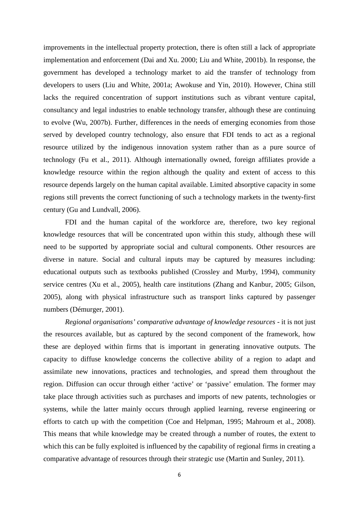improvements in the intellectual property protection, there is often still a lack of appropriate implementation and enforcement (Dai and Xu. 2000; Liu and White, 2001b). In response, the government has developed a technology market to aid the transfer of technology from developers to users (Liu and White, 2001a; Awokuse and Yin, 2010). However, China still lacks the required concentration of support institutions such as vibrant venture capital, consultancy and legal industries to enable technology transfer, although these are continuing to evolve (Wu, 2007b). Further, differences in the needs of emerging economies from those served by developed country technology, also ensure that FDI tends to act as a regional resource utilized by the indigenous innovation system rather than as a pure source of technology (Fu et al., 2011). Although internationally owned, foreign affiliates provide a knowledge resource within the region although the quality and extent of access to this resource depends largely on the human capital available. Limited absorptive capacity in some regions still prevents the correct functioning of such a technology markets in the twenty-first century (Gu and Lundvall, 2006).

FDI and the human capital of the workforce are, therefore, two key regional knowledge resources that will be concentrated upon within this study, although these will need to be supported by appropriate social and cultural components. Other resources are diverse in nature. Social and cultural inputs may be captured by measures including: educational outputs such as textbooks published (Crossley and Murby, 1994), community service centres (Xu et al., 2005), health care institutions (Zhang and Kanbur, 2005; Gilson, 2005), along with physical infrastructure such as transport links captured by passenger numbers (Démurger, 2001).

*Regional organisations' comparative advantage of knowledge resources* - it is not just the resources available, but as captured by the second component of the framework, how these are deployed within firms that is important in generating innovative outputs. The capacity to diffuse knowledge concerns the collective ability of a region to adapt and assimilate new innovations, practices and technologies, and spread them throughout the region. Diffusion can occur through either 'active' or 'passive' emulation. The former may take place through activities such as purchases and imports of new patents, technologies or systems, while the latter mainly occurs through applied learning, reverse engineering or efforts to catch up with the competition (Coe and Helpman, 1995; Mahroum et al., 2008). This means that while knowledge may be created through a number of routes, the extent to which this can be fully exploited is influenced by the capability of regional firms in creating a comparative advantage of resources through their strategic use (Martin and Sunley, 2011).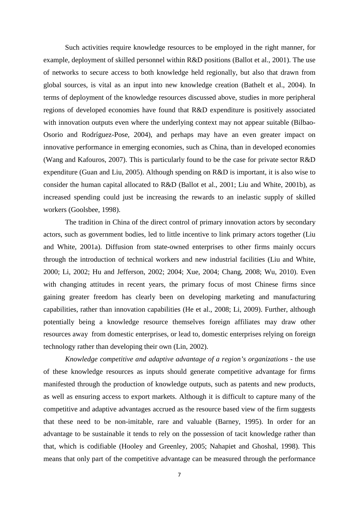Such activities require knowledge resources to be employed in the right manner, for example, deployment of skilled personnel within R&D positions (Ballot et al., 2001). The use of networks to secure access to both knowledge held regionally, but also that drawn from global sources, is vital as an input into new knowledge creation (Bathelt et al., 2004). In terms of deployment of the knowledge resources discussed above, studies in more peripheral regions of developed economies have found that R&D expenditure is positively associated with innovation outputs even where the underlying context may not appear suitable (Bilbao-Osorio and Rodríguez-Pose, 2004), and perhaps may have an even greater impact on innovative performance in emerging economies, such as China, than in developed economies (Wang and Kafouros, 2007). This is particularly found to be the case for private sector R&D expenditure (Guan and Liu, 2005). Although spending on R&D is important, it is also wise to consider the human capital allocated to R&D (Ballot et al., 2001; Liu and White, 2001b), as increased spending could just be increasing the rewards to an inelastic supply of skilled workers (Goolsbee, 1998).

The tradition in China of the direct control of primary innovation actors by secondary actors, such as government bodies, led to little incentive to link primary actors together (Liu and White, 2001a). Diffusion from state-owned enterprises to other firms mainly occurs through the introduction of technical workers and new industrial facilities (Liu and White, 2000; Li, 2002; Hu and Jefferson, 2002; 2004; Xue, 2004; Chang, 2008; Wu, 2010). Even with changing attitudes in recent years, the primary focus of most Chinese firms since gaining greater freedom has clearly been on developing marketing and manufacturing capabilities, rather than innovation capabilities (He et al., 2008; Li, 2009). Further, although potentially being a knowledge resource themselves foreign affiliates may draw other resources away from domestic enterprises, or lead to, domestic enterprises relying on foreign technology rather than developing their own (Lin, 2002).

*Knowledge competitive and adaptive advantage of a region's organizations* - the use of these knowledge resources as inputs should generate competitive advantage for firms manifested through the production of knowledge outputs, such as patents and new products, as well as ensuring access to export markets. Although it is difficult to capture many of the competitive and adaptive advantages accrued as the resource based view of the firm suggests that these need to be non-imitable, rare and valuable (Barney, 1995). In order for an advantage to be sustainable it tends to rely on the possession of tacit knowledge rather than that, which is codifiable (Hooley and Greenley, 2005; Nahapiet and Ghoshal, 1998). This means that only part of the competitive advantage can be measured through the performance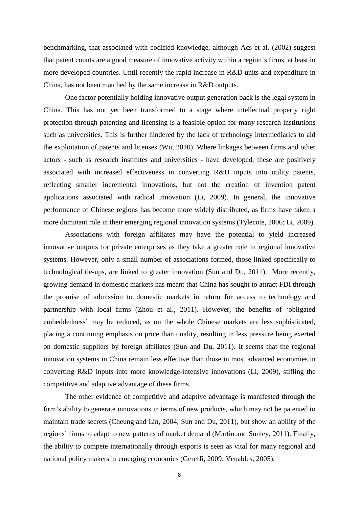benchmarking, that associated with codified knowledge, although Acs et al. (2002) suggest that patent counts are a good measure of innovative activity within a region's firms, at least in more developed countries. Until recently the rapid increase in R&D units and expenditure in China, has not been matched by the same increase in R&D outputs.

One factor potentially holding innovative output generation back is the legal system in China. This has not yet been transformed to a stage where intellectual property right protection through patenting and licensing is a feasible option for many research institutions such as universities. This is further hindered by the lack of technology intermediaries to aid the exploitation of patents and licenses (Wu, 2010). Where linkages between firms and other actors - such as research institutes and universities - have developed, these are positively associated with increased effectiveness in converting R&D inputs into utility patents, reflecting smaller incremental innovations, but not the creation of invention patent applications associated with radical innovation (Li, 2009). In general, the innovative performance of Chinese regions has become more widely distributed, as firms have taken a more dominant role in their emerging regional innovation systems (Tylecote, 2006; Li, 2009).

Associations with foreign affiliates may have the potential to yield increased innovative outputs for private enterprises as they take a greater role in regional innovative systems. However, only a small number of associations formed, those linked specifically to technological tie-ups, are linked to greater innovation (Sun and Du, 2011). More recently, growing demand in domestic markets has meant that China has sought to attract FDI through the promise of admission to domestic markets in return for access to technology and partnership with local firms (Zhou et al., 2011). However, the benefits of 'obligated embeddedness' may be reduced, as on the whole Chinese markets are less sophisticated, placing a continuing emphasis on price than quality, resulting in less pressure being exerted on domestic suppliers by foreign affiliates (Sun and Du, 2011). It seems that the regional innovation systems in China remain less effective than those in most advanced economies in converting R&D inputs into more knowledge-intensive innovations (Li, 2009), stifling the competitive and adaptive advantage of these firms.

The other evidence of competitive and adaptive advantage is manifested through the firm's ability to generate innovations in terms of new products, which may not be patented to maintain trade secrets (Cheung and Lin, 2004; Sun and Du, 2011), but show an ability of the regions' firms to adapt to new patterns of market demand (Martin and Sunley, 2011). Finally, the ability to compete internationally through exports is seen as vital for many regional and national policy makers in emerging economies (Gereffi, 2009; Venables, 2005).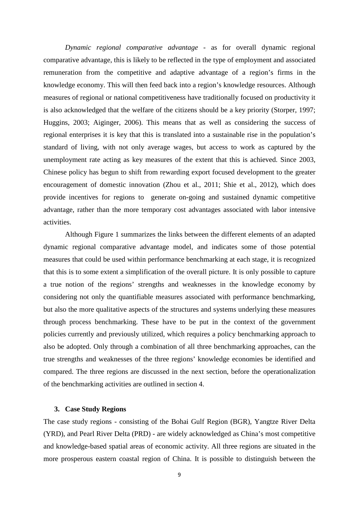*Dynamic regional comparative advantage* - as for overall dynamic regional comparative advantage, this is likely to be reflected in the type of employment and associated remuneration from the competitive and adaptive advantage of a region's firms in the knowledge economy. This will then feed back into a region's knowledge resources. Although measures of regional or national competitiveness have traditionally focused on productivity it is also acknowledged that the welfare of the citizens should be a key priority (Storper, 1997; Huggins, 2003; Aiginger, 2006). This means that as well as considering the success of regional enterprises it is key that this is translated into a sustainable rise in the population's standard of living, with not only average wages, but access to work as captured by the unemployment rate acting as key measures of the extent that this is achieved. Since 2003, Chinese policy has begun to shift from rewarding export focused development to the greater encouragement of domestic innovation (Zhou et al., 2011; Shie et al., 2012), which does provide incentives for regions to generate on-going and sustained dynamic competitive advantage, rather than the more temporary cost advantages associated with labor intensive activities.

Although Figure 1 summarizes the links between the different elements of an adapted dynamic regional comparative advantage model, and indicates some of those potential measures that could be used within performance benchmarking at each stage, it is recognized that this is to some extent a simplification of the overall picture. It is only possible to capture a true notion of the regions' strengths and weaknesses in the knowledge economy by considering not only the quantifiable measures associated with performance benchmarking, but also the more qualitative aspects of the structures and systems underlying these measures through process benchmarking. These have to be put in the context of the government policies currently and previously utilized, which requires a policy benchmarking approach to also be adopted. Only through a combination of all three benchmarking approaches, can the true strengths and weaknesses of the three regions' knowledge economies be identified and compared. The three regions are discussed in the next section, before the operationalization of the benchmarking activities are outlined in section 4.

## **3. Case Study Regions**

The case study regions - consisting of the Bohai Gulf Region (BGR), Yangtze River Delta (YRD), and Pearl River Delta (PRD) - are widely acknowledged as China's most competitive and knowledge-based spatial areas of economic activity. All three regions are situated in the more prosperous eastern coastal region of China. It is possible to distinguish between the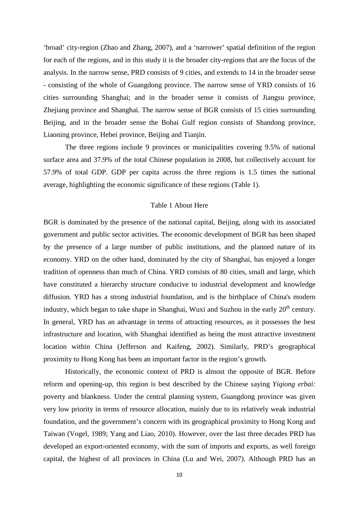'broad' city-region (Zhao and Zhang, 2007), and a 'narrower' spatial definition of the region for each of the regions, and in this study it is the broader city-regions that are the focus of the analysis. In the narrow sense, PRD consists of 9 cities, and extends to 14 in the broader sense - consisting of the whole of Guangdong province. The narrow sense of YRD consists of 16 cities surrounding Shanghai; and in the broader sense it consists of Jiangsu province, Zhejiang province and Shanghai. The narrow sense of BGR consists of 15 cities surrounding Beijing, and in the broader sense the Bohai Gulf region consists of Shandong province, Liaoning province, Hebei province, Beijing and Tianjin.

The three regions include 9 provinces or municipalities covering 9.5% of national surface area and 37.9% of the total Chinese population in 2008, but collectively account for 57.9% of total GDP. GDP per capita across the three regions is 1.5 times the national average, highlighting the economic significance of these regions (Table 1).

## Table 1 About Here

BGR is dominated by the presence of the national capital, Beijing, along with its associated government and public sector activities. The economic development of BGR has been shaped by the presence of a large number of public institutions, and the planned nature of its economy. YRD on the other hand, dominated by the city of Shanghai, has enjoyed a longer tradition of openness than much of China. YRD consists of 80 cities, small and large, which have constituted a hierarchy structure conducive to industrial development and knowledge diffusion. YRD has a strong industrial foundation, and is the birthplace of China's modern industry, which began to take shape in Shanghai, Wuxi and Suzhou in the early 20<sup>th</sup> century. In general, YRD has an advantage in terms of attracting resources, as it possesses the best infrastructure and location, with Shanghai identified as being the most attractive investment location within China (Jefferson and Kaifeng, 2002). Similarly, PRD's geographical proximity to Hong Kong has been an important factor in the region's growth.

Historically, the economic context of PRD is almost the opposite of BGR. Before reform and opening-up, this region is best described by the Chinese saying *Yiqiong erbai:*  poverty and blankness. Under the central planning system, Guangdong province was given very low priority in terms of resource allocation, mainly due to its relatively weak industrial foundation, and the government's concern with its geographical proximity to Hong Kong and Taiwan (Vogel, 1989; Yang and Liao, 2010). However, over the last three decades PRD has developed an export-oriented economy, with the sum of imports and exports, as well foreign capital, the highest of all provinces in China (Lu and Wei, 2007). Although PRD has an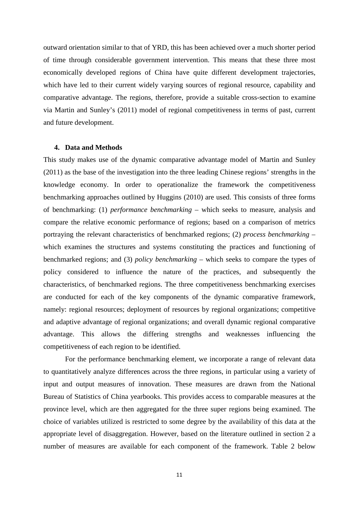outward orientation similar to that of YRD, this has been achieved over a much shorter period of time through considerable government intervention. This means that these three most economically developed regions of China have quite different development trajectories, which have led to their current widely varying sources of regional resource, capability and comparative advantage. The regions, therefore, provide a suitable cross-section to examine via Martin and Sunley's (2011) model of regional competitiveness in terms of past, current and future development.

#### **4. Data and Methods**

This study makes use of the dynamic comparative advantage model of Martin and Sunley (2011) as the base of the investigation into the three leading Chinese regions' strengths in the knowledge economy. In order to operationalize the framework the competitiveness benchmarking approaches outlined by Huggins (2010) are used. This consists of three forms of benchmarking: (1) *performance benchmarking* – which seeks to measure, analysis and compare the relative economic performance of regions; based on a comparison of metrics portraying the relevant characteristics of benchmarked regions; (2) *process benchmarking* – which examines the structures and systems constituting the practices and functioning of benchmarked regions; and (3) *policy benchmarking* – which seeks to compare the types of policy considered to influence the nature of the practices, and subsequently the characteristics, of benchmarked regions. The three competitiveness benchmarking exercises are conducted for each of the key components of the dynamic comparative framework, namely: regional resources; deployment of resources by regional organizations; competitive and adaptive advantage of regional organizations; and overall dynamic regional comparative advantage. This allows the differing strengths and weaknesses influencing the competitiveness of each region to be identified.

For the performance benchmarking element, we incorporate a range of relevant data to quantitatively analyze differences across the three regions, in particular using a variety of input and output measures of innovation. These measures are drawn from the National Bureau of Statistics of China yearbooks. This provides access to comparable measures at the province level, which are then aggregated for the three super regions being examined. The choice of variables utilized is restricted to some degree by the availability of this data at the appropriate level of disaggregation. However, based on the literature outlined in section 2 a number of measures are available for each component of the framework. Table 2 below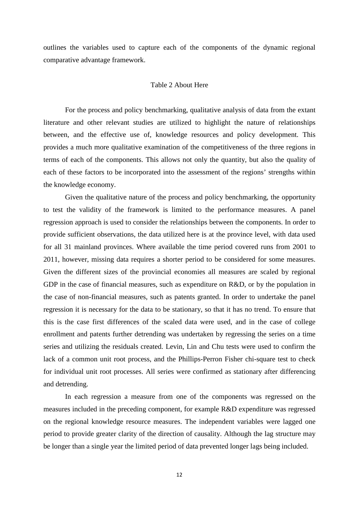outlines the variables used to capture each of the components of the dynamic regional comparative advantage framework.

#### Table 2 About Here

For the process and policy benchmarking, qualitative analysis of data from the extant literature and other relevant studies are utilized to highlight the nature of relationships between, and the effective use of, knowledge resources and policy development. This provides a much more qualitative examination of the competitiveness of the three regions in terms of each of the components. This allows not only the quantity, but also the quality of each of these factors to be incorporated into the assessment of the regions' strengths within the knowledge economy.

Given the qualitative nature of the process and policy benchmarking, the opportunity to test the validity of the framework is limited to the performance measures. A panel regression approach is used to consider the relationships between the components. In order to provide sufficient observations, the data utilized here is at the province level, with data used for all 31 mainland provinces. Where available the time period covered runs from 2001 to 2011, however, missing data requires a shorter period to be considered for some measures. Given the different sizes of the provincial economies all measures are scaled by regional GDP in the case of financial measures, such as expenditure on R&D, or by the population in the case of non-financial measures, such as patents granted. In order to undertake the panel regression it is necessary for the data to be stationary, so that it has no trend. To ensure that this is the case first differences of the scaled data were used, and in the case of college enrollment and patents further detrending was undertaken by regressing the series on a time series and utilizing the residuals created. Levin, Lin and Chu tests were used to confirm the lack of a common unit root process, and the Phillips-Perron Fisher chi-square test to check for individual unit root processes. All series were confirmed as stationary after differencing and detrending.

In each regression a measure from one of the components was regressed on the measures included in the preceding component, for example R&D expenditure was regressed on the regional knowledge resource measures. The independent variables were lagged one period to provide greater clarity of the direction of causality. Although the lag structure may be longer than a single year the limited period of data prevented longer lags being included.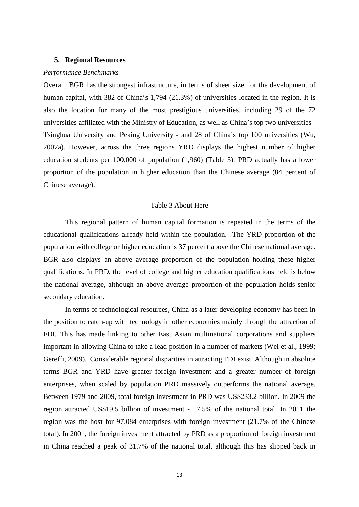#### **5. Regional Resources**

#### *Performance Benchmarks*

Overall, BGR has the strongest infrastructure, in terms of sheer size, for the development of human capital, with 382 of China's 1,794 (21.3%) of universities located in the region. It is also the location for many of the most prestigious universities, including 29 of the 72 universities affiliated with the Ministry of Education, as well as China's top two universities - Tsinghua University and Peking University - and 28 of China's top 100 universities (Wu, 2007a). However, across the three regions YRD displays the highest number of higher education students per 100,000 of population (1,960) (Table 3). PRD actually has a lower proportion of the population in higher education than the Chinese average (84 percent of Chinese average).

## Table 3 About Here

This regional pattern of human capital formation is repeated in the terms of the educational qualifications already held within the population. The YRD proportion of the population with college or higher education is 37 percent above the Chinese national average. BGR also displays an above average proportion of the population holding these higher qualifications. In PRD, the level of college and higher education qualifications held is below the national average, although an above average proportion of the population holds senior secondary education.

In terms of technological resources, China as a later developing economy has been in the position to catch-up with technology in other economies mainly through the attraction of FDI. This has made linking to other East Asian multinational corporations and suppliers important in allowing China to take a lead position in a number of markets (Wei et al., 1999; Gereffi, 2009). Considerable regional disparities in attracting FDI exist. Although in absolute terms BGR and YRD have greater foreign investment and a greater number of foreign enterprises, when scaled by population PRD massively outperforms the national average. Between 1979 and 2009, total foreign investment in PRD was US\$233.2 billion. In 2009 the region attracted US\$19.5 billion of investment - 17.5% of the national total. In 2011 the region was the host for 97,084 enterprises with foreign investment (21.7% of the Chinese total). In 2001, the foreign investment attracted by PRD as a proportion of foreign investment in China reached a peak of 31.7% of the national total, although this has slipped back in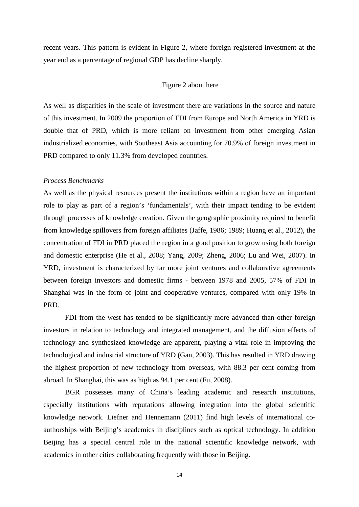recent years. This pattern is evident in Figure 2, where foreign registered investment at the year end as a percentage of regional GDP has decline sharply.

#### Figure 2 about here

As well as disparities in the scale of investment there are variations in the source and nature of this investment. In 2009 the proportion of FDI from Europe and North America in YRD is double that of PRD, which is more reliant on investment from other emerging Asian industrialized economies, with Southeast Asia accounting for 70.9% of foreign investment in PRD compared to only 11.3% from developed countries.

### *Process Benchmarks*

As well as the physical resources present the institutions within a region have an important role to play as part of a region's 'fundamentals', with their impact tending to be evident through processes of knowledge creation. Given the geographic proximity required to benefit from knowledge spillovers from foreign affiliates (Jaffe, 1986; 1989; Huang et al., 2012), the concentration of FDI in PRD placed the region in a good position to grow using both foreign and domestic enterprise (He et al., 2008; Yang, 2009; Zheng, 2006; Lu and Wei, 2007). In YRD, investment is characterized by far more joint ventures and collaborative agreements between foreign investors and domestic firms - between 1978 and 2005, 57% of FDI in Shanghai was in the form of joint and cooperative ventures, compared with only 19% in PRD.

FDI from the west has tended to be significantly more advanced than other foreign investors in relation to technology and integrated management, and the diffusion effects of technology and synthesized knowledge are apparent, playing a vital role in improving the technological and industrial structure of YRD (Gan, 2003). This has resulted in YRD drawing the highest proportion of new technology from overseas, with 88.3 per cent coming from abroad. In Shanghai, this was as high as 94.1 per cent (Fu, 2008).

BGR possesses many of China's leading academic and research institutions, especially institutions with reputations allowing integration into the global scientific knowledge network. Liefner and Hennemann (2011) find high levels of international coauthorships with Beijing's academics in disciplines such as optical technology. In addition Beijing has a special central role in the national scientific knowledge network, with academics in other cities collaborating frequently with those in Beijing.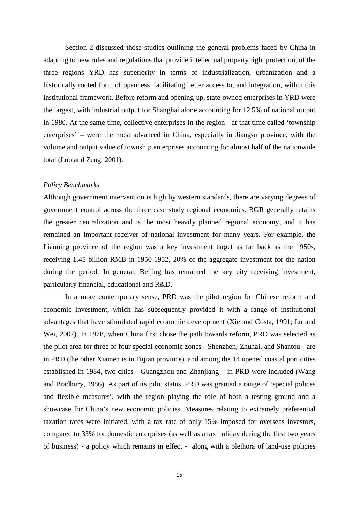Section 2 discussed those studies outlining the general problems faced by China in adapting to new rules and regulations that provide intellectual property right protection, of the three regions YRD has superiority in terms of industrialization, urbanization and a historically rooted form of openness, facilitating better access to, and integration, within this institutional framework. Before reform and opening-up, state-owned enterprises in YRD were the largest, with industrial output for Shanghai alone accounting for 12.5% of national output in 1980. At the same time, collective enterprises in the region - at that time called 'township enterprises' – were the most advanced in China, especially in Jiangsu province, with the volume and output value of township enterprises accounting for almost half of the nationwide total (Luo and Zeng, 2001).

#### *Policy Benchmarks*

Although government intervention is high by western standards, there are varying degrees of government control across the three case study regional economies. BGR generally retains the greater centralization and is the most heavily planned regional economy, and it has remained an important receiver of national investment for many years. For example, the Liaoning province of the region was a key investment target as far back as the 1950s, receiving 1.45 billion RMB in 1950-1952, 20% of the aggregate investment for the nation during the period. In general, Beijing has remained the key city receiving investment, particularly financial, educational and R&D.

In a more contemporary sense, PRD was the pilot region for Chinese reform and economic investment, which has subsequently provided it with a range of institutional advantages that have stimulated rapid economic development (Xie and Costa, 1991; Lu and Wei, 2007). In 1978, when China first chose the path towards reform, PRD was selected as the pilot area for three of four special economic zones - Shenzhen, Zhuhai, and Shantou - are in PRD (the other Xiamen is in Fujian province), and among the 14 opened coastal port cities established in 1984, two cities - Guangzhou and Zhanjiang – in PRD were included (Wang and Bradbury, 1986). As part of its pilot status, PRD was granted a range of 'special polices and flexible measures', with the region playing the role of both a testing ground and a showcase for China's new economic policies. Measures relating to extremely preferential taxation rates were initiated, with a tax rate of only 15% imposed for overseas investors, compared to 33% for domestic enterprises (as well as a tax holiday during the first two years of business) - a policy which remains in effect - along with a plethora of land-use policies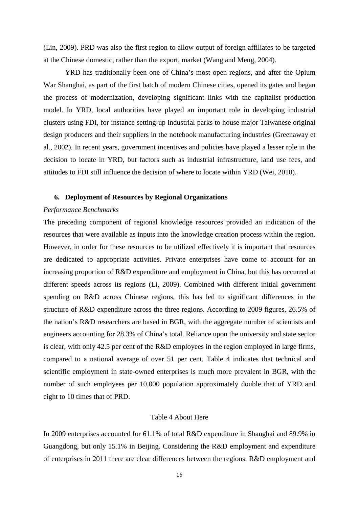(Lin, 2009). PRD was also the first region to allow output of foreign affiliates to be targeted at the Chinese domestic, rather than the export, market (Wang and Meng, 2004).

YRD has traditionally been one of China's most open regions, and after the Opium War Shanghai, as part of the first batch of modern Chinese cities, opened its gates and began the process of modernization, developing significant links with the capitalist production model. In YRD, local authorities have played an important role in developing industrial clusters using FDI, for instance setting-up industrial parks to house major Taiwanese original design producers and their suppliers in the notebook manufacturing industries (Greenaway et al., 2002). In recent years, government incentives and policies have played a lesser role in the decision to locate in YRD, but factors such as industrial infrastructure, land use fees, and attitudes to FDI still influence the decision of where to locate within YRD (Wei, 2010).

## **6. Deployment of Resources by Regional Organizations**

## *Performance Benchmarks*

The preceding component of regional knowledge resources provided an indication of the resources that were available as inputs into the knowledge creation process within the region. However, in order for these resources to be utilized effectively it is important that resources are dedicated to appropriate activities. Private enterprises have come to account for an increasing proportion of R&D expenditure and employment in China, but this has occurred at different speeds across its regions (Li, 2009). Combined with different initial government spending on R&D across Chinese regions, this has led to significant differences in the structure of R&D expenditure across the three regions. According to 2009 figures, 26.5% of the nation's R&D researchers are based in BGR, with the aggregate number of scientists and engineers accounting for 28.3% of China's total. Reliance upon the university and state sector is clear, with only 42.5 per cent of the R&D employees in the region employed in large firms, compared to a national average of over 51 per cent. Table 4 indicates that technical and scientific employment in state-owned enterprises is much more prevalent in BGR, with the number of such employees per 10,000 population approximately double that of YRD and eight to 10 times that of PRD.

#### Table 4 About Here

In 2009 enterprises accounted for 61.1% of total R&D expenditure in Shanghai and 89.9% in Guangdong, but only 15.1% in Beijing. Considering the R&D employment and expenditure of enterprises in 2011 there are clear differences between the regions. R&D employment and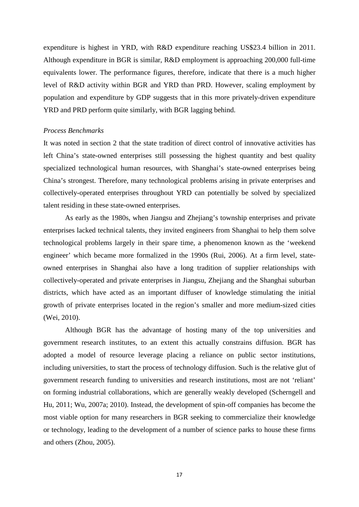expenditure is highest in YRD, with R&D expenditure reaching US\$23.4 billion in 2011. Although expenditure in BGR is similar, R&D employment is approaching 200,000 full-time equivalents lower. The performance figures, therefore, indicate that there is a much higher level of R&D activity within BGR and YRD than PRD. However, scaling employment by population and expenditure by GDP suggests that in this more privately-driven expenditure YRD and PRD perform quite similarly, with BGR lagging behind.

## *Process Benchmarks*

It was noted in section 2 that the state tradition of direct control of innovative activities has left China's state-owned enterprises still possessing the highest quantity and best quality specialized technological human resources, with Shanghai's state-owned enterprises being China's strongest. Therefore, many technological problems arising in private enterprises and collectively-operated enterprises throughout YRD can potentially be solved by specialized talent residing in these state-owned enterprises.

As early as the 1980s, when Jiangsu and Zhejiang's township enterprises and private enterprises lacked technical talents, they invited engineers from Shanghai to help them solve technological problems largely in their spare time, a phenomenon known as the 'weekend engineer' which became more formalized in the 1990s (Rui, 2006). At a firm level, stateowned enterprises in Shanghai also have a long tradition of supplier relationships with collectively-operated and private enterprises in Jiangsu, Zhejiang and the Shanghai suburban districts, which have acted as an important diffuser of knowledge stimulating the initial growth of private enterprises located in the region's smaller and more medium-sized cities (Wei, 2010).

Although BGR has the advantage of hosting many of the top universities and government research institutes, to an extent this actually constrains diffusion. BGR has adopted a model of resource leverage placing a reliance on public sector institutions, including universities, to start the process of technology diffusion. Such is the relative glut of government research funding to universities and research institutions, most are not 'reliant' on forming industrial collaborations, which are generally weakly developed (Scherngell and Hu, 2011; Wu, 2007a; 2010). Instead, the development of spin-off companies has become the most viable option for many researchers in BGR seeking to commercialize their knowledge or technology, leading to the development of a number of science parks to house these firms and others (Zhou, 2005).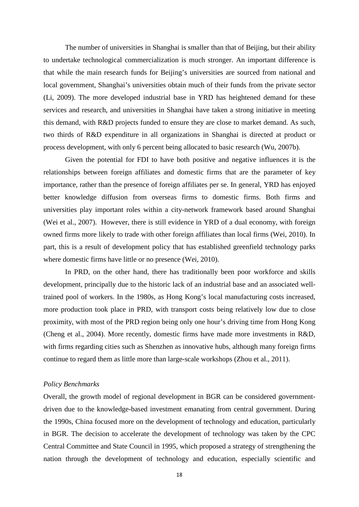The number of universities in Shanghai is smaller than that of Beijing, but their ability to undertake technological commercialization is much stronger. An important difference is that while the main research funds for Beijing's universities are sourced from national and local government, Shanghai's universities obtain much of their funds from the private sector (Li, 2009). The more developed industrial base in YRD has heightened demand for these services and research, and universities in Shanghai have taken a strong initiative in meeting this demand, with R&D projects funded to ensure they are close to market demand. As such, two thirds of R&D expenditure in all organizations in Shanghai is directed at product or process development, with only 6 percent being allocated to basic research (Wu, 2007b).

Given the potential for FDI to have both positive and negative influences it is the relationships between foreign affiliates and domestic firms that are the parameter of key importance, rather than the presence of foreign affiliates per se. In general, YRD has enjoyed better knowledge diffusion from overseas firms to domestic firms. Both firms and universities play important roles within a city-network framework based around Shanghai (Wei et al., 2007). However, there is still evidence in YRD of a dual economy, with foreign owned firms more likely to trade with other foreign affiliates than local firms (Wei, 2010). In part, this is a result of development policy that has established greenfield technology parks where domestic firms have little or no presence (Wei, 2010).

In PRD, on the other hand, there has traditionally been poor workforce and skills development, principally due to the historic lack of an industrial base and an associated welltrained pool of workers. In the 1980s, as Hong Kong's local manufacturing costs increased, more production took place in PRD, with transport costs being relatively low due to close proximity, with most of the PRD region being only one hour's driving time from Hong Kong (Cheng et al., 2004). More recently, domestic firms have made more investments in R&D, with firms regarding cities such as Shenzhen as innovative hubs, although many foreign firms continue to regard them as little more than large-scale workshops (Zhou et al., 2011).

## *Policy Benchmarks*

Overall, the growth model of regional development in BGR can be considered governmentdriven due to the knowledge-based investment emanating from central government. During the 1990s, China focused more on the development of technology and education, particularly in BGR. The decision to accelerate the development of technology was taken by the CPC Central Committee and State Council in 1995, which proposed a strategy of strengthening the nation through the development of technology and education, especially scientific and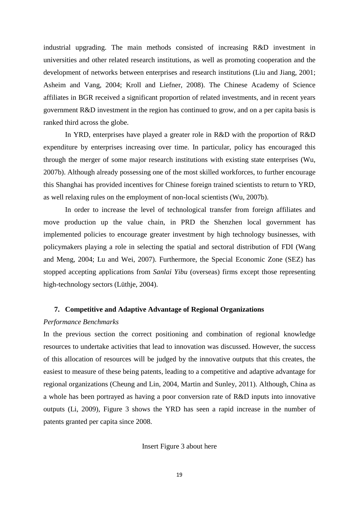industrial upgrading. The main methods consisted of increasing R&D investment in universities and other related research institutions, as well as promoting cooperation and the development of networks between enterprises and research institutions (Liu and Jiang, 2001; Asheim and Vang, 2004; Kroll and Liefner, 2008). The Chinese Academy of Science affiliates in BGR received a significant proportion of related investments, and in recent years government R&D investment in the region has continued to grow, and on a per capita basis is ranked third across the globe.

In YRD, enterprises have played a greater role in R&D with the proportion of R&D expenditure by enterprises increasing over time. In particular, policy has encouraged this through the merger of some major research institutions with existing state enterprises (Wu, 2007b). Although already possessing one of the most skilled workforces, to further encourage this Shanghai has provided incentives for Chinese foreign trained scientists to return to YRD, as well relaxing rules on the employment of non-local scientists (Wu, 2007b).

In order to increase the level of technological transfer from foreign affiliates and move production up the value chain, in PRD the Shenzhen local government has implemented policies to encourage greater investment by high technology businesses, with policymakers playing a role in selecting the spatial and sectoral distribution of FDI (Wang and Meng, 2004; Lu and Wei, 2007). Furthermore, the Special Economic Zone (SEZ) has stopped accepting applications from *Sanlai Yibu* (overseas) firms except those representing high-technology sectors (Lüthje, 2004).

### **7. Competitive and Adaptive Advantage of Regional Organizations**

## *Performance Benchmarks*

In the previous section the correct positioning and combination of regional knowledge resources to undertake activities that lead to innovation was discussed. However, the success of this allocation of resources will be judged by the innovative outputs that this creates, the easiest to measure of these being patents, leading to a competitive and adaptive advantage for regional organizations (Cheung and Lin, 2004, Martin and Sunley, 2011). Although, China as a whole has been portrayed as having a poor conversion rate of R&D inputs into innovative outputs (Li, 2009), Figure 3 shows the YRD has seen a rapid increase in the number of patents granted per capita since 2008.

Insert Figure 3 about here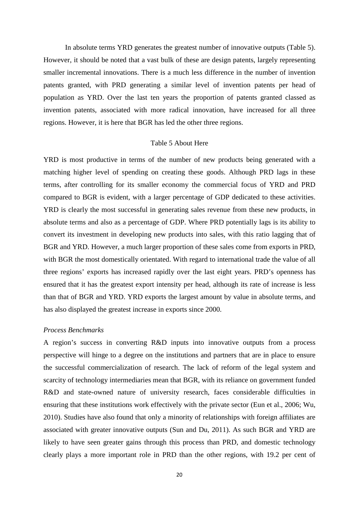In absolute terms YRD generates the greatest number of innovative outputs (Table 5). However, it should be noted that a vast bulk of these are design patents, largely representing smaller incremental innovations. There is a much less difference in the number of invention patents granted, with PRD generating a similar level of invention patents per head of population as YRD. Over the last ten years the proportion of patents granted classed as invention patents, associated with more radical innovation, have increased for all three regions. However, it is here that BGR has led the other three regions.

## Table 5 About Here

YRD is most productive in terms of the number of new products being generated with a matching higher level of spending on creating these goods. Although PRD lags in these terms, after controlling for its smaller economy the commercial focus of YRD and PRD compared to BGR is evident, with a larger percentage of GDP dedicated to these activities. YRD is clearly the most successful in generating sales revenue from these new products, in absolute terms and also as a percentage of GDP. Where PRD potentially lags is its ability to convert its investment in developing new products into sales, with this ratio lagging that of BGR and YRD. However, a much larger proportion of these sales come from exports in PRD, with BGR the most domestically orientated. With regard to international trade the value of all three regions' exports has increased rapidly over the last eight years. PRD's openness has ensured that it has the greatest export intensity per head, although its rate of increase is less than that of BGR and YRD. YRD exports the largest amount by value in absolute terms, and has also displayed the greatest increase in exports since 2000.

## *Process Benchmarks*

A region's success in converting R&D inputs into innovative outputs from a process perspective will hinge to a degree on the institutions and partners that are in place to ensure the successful commercialization of research. The lack of reform of the legal system and scarcity of technology intermediaries mean that BGR, with its reliance on government funded R&D and state-owned nature of university research, faces considerable difficulties in ensuring that these institutions work effectively with the private sector (Eun et al., 2006; Wu, 2010). Studies have also found that only a minority of relationships with foreign affiliates are associated with greater innovative outputs (Sun and Du, 2011). As such BGR and YRD are likely to have seen greater gains through this process than PRD, and domestic technology clearly plays a more important role in PRD than the other regions, with 19.2 per cent of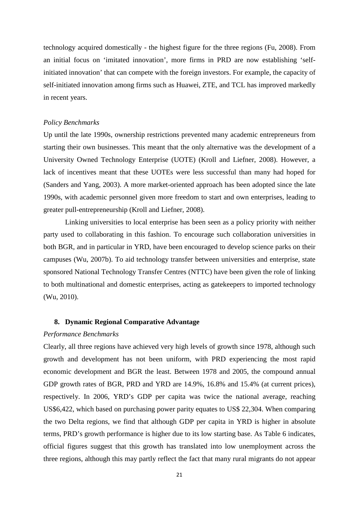technology acquired domestically - the highest figure for the three regions (Fu, 2008). From an initial focus on 'imitated innovation', more firms in PRD are now establishing 'selfinitiated innovation' that can compete with the foreign investors. For example, the capacity of self-initiated innovation among firms such as Huawei, ZTE, and TCL has improved markedly in recent years.

## *Policy Benchmarks*

Up until the late 1990s, ownership restrictions prevented many academic entrepreneurs from starting their own businesses. This meant that the only alternative was the development of a University Owned Technology Enterprise (UOTE) (Kroll and Liefner, 2008). However, a lack of incentives meant that these UOTEs were less successful than many had hoped for (Sanders and Yang, 2003). A more market-oriented approach has been adopted since the late 1990s, with academic personnel given more freedom to start and own enterprises, leading to greater pull-entrepreneurship (Kroll and Liefner, 2008).

Linking universities to local enterprise has been seen as a policy priority with neither party used to collaborating in this fashion. To encourage such collaboration universities in both BGR, and in particular in YRD, have been encouraged to develop science parks on their campuses (Wu, 2007b). To aid technology transfer between universities and enterprise, state sponsored National Technology Transfer Centres (NTTC) have been given the role of linking to both multinational and domestic enterprises, acting as gatekeepers to imported technology (Wu, 2010).

## **8. Dynamic Regional Comparative Advantage**

#### *Performance Benchmarks*

Clearly, all three regions have achieved very high levels of growth since 1978, although such growth and development has not been uniform, with PRD experiencing the most rapid economic development and BGR the least. Between 1978 and 2005, the compound annual GDP growth rates of BGR, PRD and YRD are 14.9%, 16.8% and 15.4% (at current prices), respectively. In 2006, YRD's GDP per capita was twice the national average, reaching US\$6,422, which based on purchasing power parity equates to US\$ 22,304. When comparing the two Delta regions, we find that although GDP per capita in YRD is higher in absolute terms, PRD's growth performance is higher due to its low starting base. As Table 6 indicates, official figures suggest that this growth has translated into low unemployment across the three regions, although this may partly reflect the fact that many rural migrants do not appear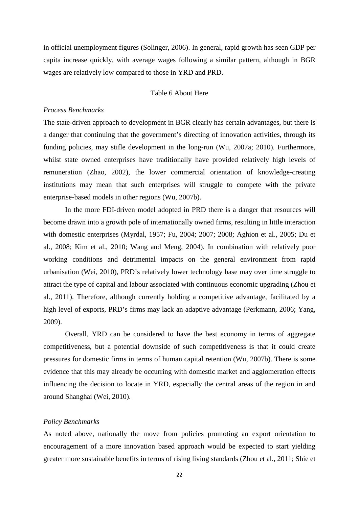in official unemployment figures (Solinger, 2006). In general, rapid growth has seen GDP per capita increase quickly, with average wages following a similar pattern, although in BGR wages are relatively low compared to those in YRD and PRD.

## Table 6 About Here

### *Process Benchmarks*

The state-driven approach to development in BGR clearly has certain advantages, but there is a danger that continuing that the government's directing of innovation activities, through its funding policies, may stifle development in the long-run (Wu, 2007a; 2010). Furthermore, whilst state owned enterprises have traditionally have provided relatively high levels of remuneration (Zhao, 2002), the lower commercial orientation of knowledge-creating institutions may mean that such enterprises will struggle to compete with the private enterprise-based models in other regions (Wu, 2007b).

In the more FDI-driven model adopted in PRD there is a danger that resources will become drawn into a growth pole of internationally owned firms, resulting in little interaction with domestic enterprises (Myrdal, 1957; Fu, 2004; 2007; 2008; Aghion et al., 2005; Du et al., 2008; Kim et al., 2010; Wang and Meng, 2004). In combination with relatively poor working conditions and detrimental impacts on the general environment from rapid urbanisation (Wei, 2010), PRD's relatively lower technology base may over time struggle to attract the type of capital and labour associated with continuous economic upgrading (Zhou et al., 2011). Therefore, although currently holding a competitive advantage, facilitated by a high level of exports, PRD's firms may lack an adaptive advantage (Perkmann, 2006; Yang, 2009).

Overall, YRD can be considered to have the best economy in terms of aggregate competitiveness, but a potential downside of such competitiveness is that it could create pressures for domestic firms in terms of human capital retention (Wu, 2007b). There is some evidence that this may already be occurring with domestic market and agglomeration effects influencing the decision to locate in YRD, especially the central areas of the region in and around Shanghai (Wei, 2010).

#### *Policy Benchmarks*

As noted above, nationally the move from policies promoting an export orientation to encouragement of a more innovation based approach would be expected to start yielding greater more sustainable benefits in terms of rising living standards (Zhou et al., 2011; Shie et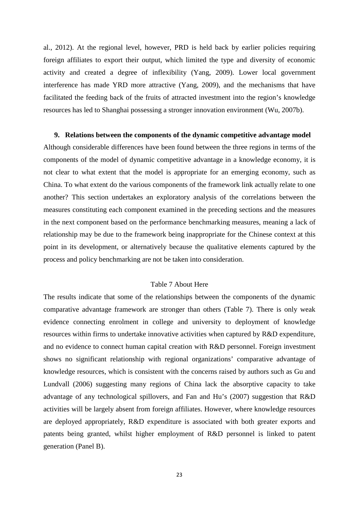al., 2012). At the regional level, however, PRD is held back by earlier policies requiring foreign affiliates to export their output, which limited the type and diversity of economic activity and created a degree of inflexibility (Yang, 2009). Lower local government interference has made YRD more attractive (Yang, 2009), and the mechanisms that have facilitated the feeding back of the fruits of attracted investment into the region's knowledge resources has led to Shanghai possessing a stronger innovation environment (Wu, 2007b).

#### **9. Relations between the components of the dynamic competitive advantage model**

Although considerable differences have been found between the three regions in terms of the components of the model of dynamic competitive advantage in a knowledge economy, it is not clear to what extent that the model is appropriate for an emerging economy, such as China. To what extent do the various components of the framework link actually relate to one another? This section undertakes an exploratory analysis of the correlations between the measures constituting each component examined in the preceding sections and the measures in the next component based on the performance benchmarking measures, meaning a lack of relationship may be due to the framework being inappropriate for the Chinese context at this point in its development, or alternatively because the qualitative elements captured by the process and policy benchmarking are not be taken into consideration.

#### Table 7 About Here

The results indicate that some of the relationships between the components of the dynamic comparative advantage framework are stronger than others (Table 7). There is only weak evidence connecting enrolment in college and university to deployment of knowledge resources within firms to undertake innovative activities when captured by R&D expenditure, and no evidence to connect human capital creation with R&D personnel. Foreign investment shows no significant relationship with regional organizations' comparative advantage of knowledge resources, which is consistent with the concerns raised by authors such as Gu and Lundvall (2006) suggesting many regions of China lack the absorptive capacity to take advantage of any technological spillovers, and Fan and Hu's (2007) suggestion that R&D activities will be largely absent from foreign affiliates. However, where knowledge resources are deployed appropriately, R&D expenditure is associated with both greater exports and patents being granted, whilst higher employment of R&D personnel is linked to patent generation (Panel B).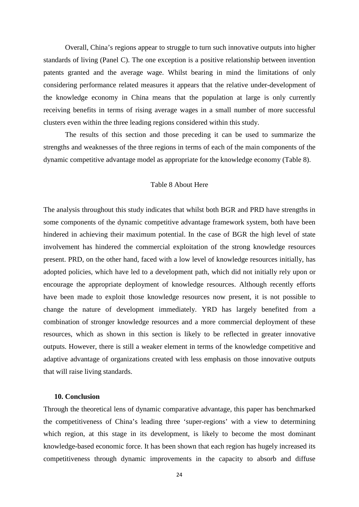Overall, China's regions appear to struggle to turn such innovative outputs into higher standards of living (Panel C). The one exception is a positive relationship between invention patents granted and the average wage. Whilst bearing in mind the limitations of only considering performance related measures it appears that the relative under-development of the knowledge economy in China means that the population at large is only currently receiving benefits in terms of rising average wages in a small number of more successful clusters even within the three leading regions considered within this study.

The results of this section and those preceding it can be used to summarize the strengths and weaknesses of the three regions in terms of each of the main components of the dynamic competitive advantage model as appropriate for the knowledge economy (Table 8).

## Table 8 About Here

The analysis throughout this study indicates that whilst both BGR and PRD have strengths in some components of the dynamic competitive advantage framework system, both have been hindered in achieving their maximum potential. In the case of BGR the high level of state involvement has hindered the commercial exploitation of the strong knowledge resources present. PRD, on the other hand, faced with a low level of knowledge resources initially, has adopted policies, which have led to a development path, which did not initially rely upon or encourage the appropriate deployment of knowledge resources. Although recently efforts have been made to exploit those knowledge resources now present, it is not possible to change the nature of development immediately. YRD has largely benefited from a combination of stronger knowledge resources and a more commercial deployment of these resources, which as shown in this section is likely to be reflected in greater innovative outputs. However, there is still a weaker element in terms of the knowledge competitive and adaptive advantage of organizations created with less emphasis on those innovative outputs that will raise living standards.

### **10. Conclusion**

Through the theoretical lens of dynamic comparative advantage, this paper has benchmarked the competitiveness of China's leading three 'super-regions' with a view to determining which region, at this stage in its development, is likely to become the most dominant knowledge-based economic force. It has been shown that each region has hugely increased its competitiveness through dynamic improvements in the capacity to absorb and diffuse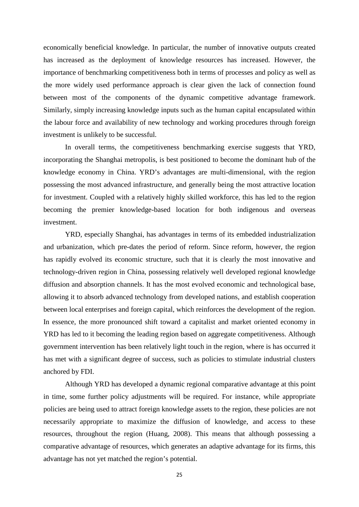economically beneficial knowledge. In particular, the number of innovative outputs created has increased as the deployment of knowledge resources has increased. However, the importance of benchmarking competitiveness both in terms of processes and policy as well as the more widely used performance approach is clear given the lack of connection found between most of the components of the dynamic competitive advantage framework. Similarly, simply increasing knowledge inputs such as the human capital encapsulated within the labour force and availability of new technology and working procedures through foreign investment is unlikely to be successful.

In overall terms, the competitiveness benchmarking exercise suggests that YRD, incorporating the Shanghai metropolis, is best positioned to become the dominant hub of the knowledge economy in China. YRD's advantages are multi-dimensional, with the region possessing the most advanced infrastructure, and generally being the most attractive location for investment. Coupled with a relatively highly skilled workforce, this has led to the region becoming the premier knowledge-based location for both indigenous and overseas investment.

YRD, especially Shanghai, has advantages in terms of its embedded industrialization and urbanization, which pre-dates the period of reform. Since reform, however, the region has rapidly evolved its economic structure, such that it is clearly the most innovative and technology-driven region in China, possessing relatively well developed regional knowledge diffusion and absorption channels. It has the most evolved economic and technological base, allowing it to absorb advanced technology from developed nations, and establish cooperation between local enterprises and foreign capital, which reinforces the development of the region. In essence, the more pronounced shift toward a capitalist and market oriented economy in YRD has led to it becoming the leading region based on aggregate competitiveness. Although government intervention has been relatively light touch in the region, where is has occurred it has met with a significant degree of success, such as policies to stimulate industrial clusters anchored by FDI.

Although YRD has developed a dynamic regional comparative advantage at this point in time, some further policy adjustments will be required. For instance, while appropriate policies are being used to attract foreign knowledge assets to the region, these policies are not necessarily appropriate to maximize the diffusion of knowledge, and access to these resources, throughout the region (Huang, 2008). This means that although possessing a comparative advantage of resources, which generates an adaptive advantage for its firms, this advantage has not yet matched the region's potential.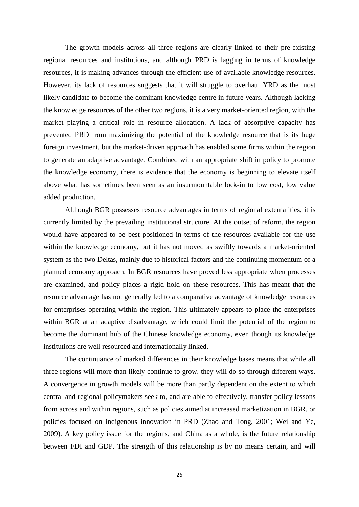The growth models across all three regions are clearly linked to their pre-existing regional resources and institutions, and although PRD is lagging in terms of knowledge resources, it is making advances through the efficient use of available knowledge resources. However, its lack of resources suggests that it will struggle to overhaul YRD as the most likely candidate to become the dominant knowledge centre in future years. Although lacking the knowledge resources of the other two regions, it is a very market-oriented region, with the market playing a critical role in resource allocation. A lack of absorptive capacity has prevented PRD from maximizing the potential of the knowledge resource that is its huge foreign investment, but the market-driven approach has enabled some firms within the region to generate an adaptive advantage. Combined with an appropriate shift in policy to promote the knowledge economy, there is evidence that the economy is beginning to elevate itself above what has sometimes been seen as an insurmountable lock-in to low cost, low value added production.

Although BGR possesses resource advantages in terms of regional externalities, it is currently limited by the prevailing institutional structure. At the outset of reform, the region would have appeared to be best positioned in terms of the resources available for the use within the knowledge economy, but it has not moved as swiftly towards a market-oriented system as the two Deltas, mainly due to historical factors and the continuing momentum of a planned economy approach. In BGR resources have proved less appropriate when processes are examined, and policy places a rigid hold on these resources. This has meant that the resource advantage has not generally led to a comparative advantage of knowledge resources for enterprises operating within the region. This ultimately appears to place the enterprises within BGR at an adaptive disadvantage, which could limit the potential of the region to become the dominant hub of the Chinese knowledge economy, even though its knowledge institutions are well resourced and internationally linked.

The continuance of marked differences in their knowledge bases means that while all three regions will more than likely continue to grow, they will do so through different ways. A convergence in growth models will be more than partly dependent on the extent to which central and regional policymakers seek to, and are able to effectively, transfer policy lessons from across and within regions, such as policies aimed at increased marketization in BGR, or policies focused on indigenous innovation in PRD (Zhao and Tong, 2001; Wei and Ye, 2009). A key policy issue for the regions, and China as a whole, is the future relationship between FDI and GDP. The strength of this relationship is by no means certain, and will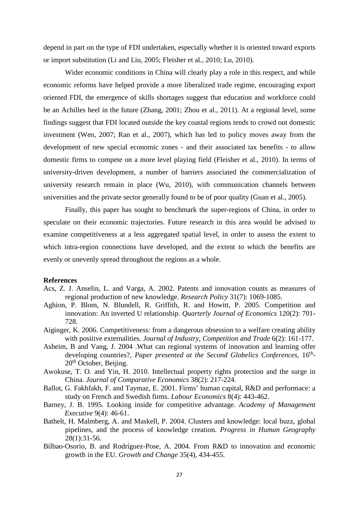depend in part on the type of FDI undertaken, especially whether it is oriented toward exports or import substitution (Li and Liu, 2005; Fleisher et al., 2010; Lu, 2010).

Wider economic conditions in China will clearly play a role in this respect, and while economic reforms have helped provide a more liberalized trade regime, encouraging export oriented FDI, the emergence of skills shortages suggest that education and workforce could be an Achilles heel in the future (Zhang, 2001; Zhou et al., 2011). At a regional level, some findings suggest that FDI located outside the key coastal regions tends to crowd out domestic investment (Wen, 2007; Ran et al., 2007), which has led to policy moves away from the development of new special economic zones - and their associated tax benefits - to allow domestic firms to compete on a more level playing field (Fleisher et al., 2010). In terms of university-driven development, a number of barriers associated the commercialization of university research remain in place (Wu, 2010), with communication channels between universities and the private sector generally found to be of poor quality (Guan et al., 2005).

Finally, this paper has sought to benchmark the super-regions of China, in order to speculate on their economic trajectories. Future research in this area would be advised to examine competitiveness at a less aggregated spatial level, in order to assess the extent to which intra-region connections have developed, and the extent to which the benefits are evenly or unevenly spread throughout the regions as a whole.

#### **References**

- Acs, Z. J. Anselin, L. and Varga, A. 2002. Patents and innovation counts as measures of regional production of new knowledge. *Research Policy* 31(7): 1069-1085.
- Aghion, P. Blom, N. Blundell, R. Griffith, R. and Howitt, P. 2005. Competition and innovation: An inverted U relationship. *Quarterly Journal of Economics* 120(2): 701- 728.
- Aiginger, K. 2006. Competitiveness: from a dangerous obsession to a welfare creating ability with positive externalities. *Journal of Industry, Competition and Trade* 6(2): 161-177.
- Asheim, B and Vang, J. 2004 .What can regional systems of innovation and learning offer developing countries?, Paper presented at the Second Globelics Conferences, 16<sup>th</sup>-20<sup>th</sup> October, Beijing.
- Awokuse, T. O. and Yin, H. 2010. Intellectual property rights protection and the surge in China. *Journal of Comparative Economics* 38(2): 217-224.
- Ballot, G. Fakhfakh, F. and Taymaz, E. 2001. Firms' human capital, R&D and performace: a study on French and Swedish firms. *Labour Economics* 8(4): 443-462.
- Barney, J. B. 1995. Looking inside for competitive advantage. *Academy of Management Executive* 9(4): 46-61.
- Bathelt, H. Malmberg, A. and Maskell, P. 2004. Clusters and knowledge: local buzz, global pipelines, and the process of knowledge creation. *Progress in Human Geography* 28(1):31-56.
- Bilbao-Osorio, B. and Rodríguez-Pose, A. 2004. From R&D to innovation and economic growth in the EU. *Growth and Change* 35(4), 434-455.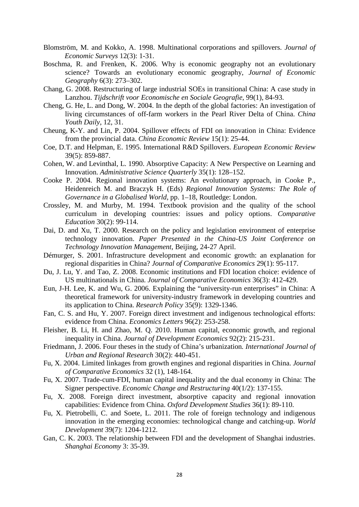- Blomström, M. and Kokko, A. 1998. Multinational corporations and spillovers. *Journal of Economic Surveys* 12(3): 1-31.
- Boschma, R. and Frenken, K. 2006. Why is economic geography not an evolutionary science? Towards an evolutionary economic geography, *Journal of Economic Geography* 6(3): 273–302.
- Chang, G. 2008. Restructuring of large industrial SOEs in transitional China: A case study in Lanzhou. *Tijdschrift voor Economische en Sociale Geografie*, 99(1), 84-93.
- Cheng, G. He, L. and Dong, W. 2004. In the depth of the global factories: An investigation of living circumstances of off-farm workers in the Pearl River Delta of China. *China Youth Daily*, 12, 31.
- Cheung, K-Y. and Lin, P. 2004. Spillover effects of FDI on innovation in China: Evidence from the provincial data. *China Economic Review* 15(1): 25-44.
- Coe, D.T. and Helpman, E. 1995. International R&D Spillovers. *European Economic Review* 39(5): 859-887.
- Cohen, W. and Levinthal, L. 1990. Absorptive Capacity: A New Perspective on Learning and Innovation. *Administrative Science Quarterly* 35(1): 128–152.
- Cooke P. 2004. Regional innovation systems: An evolutionary approach, in Cooke P., Heidenreich M. and Braczyk H. (Eds) *Regional Innovation Systems: The Role of Governance in a Globalised World*, pp. 1–18, Routledge: London.
- Crossley, M. and Murby, M. 1994. Textbook provision and the quality of the school curriculum in developing countries: issues and policy options. *Comparative Education* 30(2): 99-114.
- Dai, D. and Xu, T. 2000. Research on the policy and legislation environment of enterprise technology innovation. *Paper Presented in the China-US Joint Conference on Technology Innovation Management*, Beijing, 24-27 April.
- Démurger, S. 2001. Infrastructure development and economic growth: an explanation for regional disparities in China? *Journal of Comparative Economics* 29(1): 95-117.
- Du, J. Lu, Y. and Tao, Z. 2008. Economic institutions and FDI location choice: evidence of US multinationals in China. *Journal of Comparative Economics* 36(3): 412-429.
- Eun, J-H. Lee, K. and Wu, G. 2006. Explaining the "university-run enterprises" in China: A theoretical framework for university-industry framework in developing countries and its application to China. *Research Policy* 35(9): 1329-1346.
- Fan, C. S. and Hu, Y. 2007. Foreign direct investment and indigenous technological efforts: evidence from China. *Economics Letters* 96(2): 253-258.
- Fleisher, B. Li, H. and Zhao, M. Q. 2010. Human capital, economic growth, and regional inequality in China. *Journal of Development Economics* 92(2): 215-231.
- Friedmann, J. 2006. Four theses in the study of China's urbanization*. International Journal of Urban and Regional Research* 30(2): 440-451.
- Fu, X. 2004. Limited linkages from growth engines and regional disparities in China. *Journal of Comparative Economics* 32 (1), 148-164.
- Fu, X. 2007. Trade-cum-FDI, human capital inequality and the dual economy in China: The Signer perspective. *Economic Change and Restructuring* 40(1/2): 137-155.
- Fu, X. 2008. Foreign direct investment, absorptive capacity and regional innovation capabilities: Evidence from China. *Oxford Development Studies* 36(1): 89-110.
- Fu, X. Pietrobelli, C. and Soete, L. 2011. The role of foreign technology and indigenous innovation in the emerging economies: technological change and catching-up. *World Development* 39(7): 1204-1212.
- Gan, C. K. 2003. The relationship between FDI and the development of Shanghai industries. *Shanghai Economy* 3: 35-39.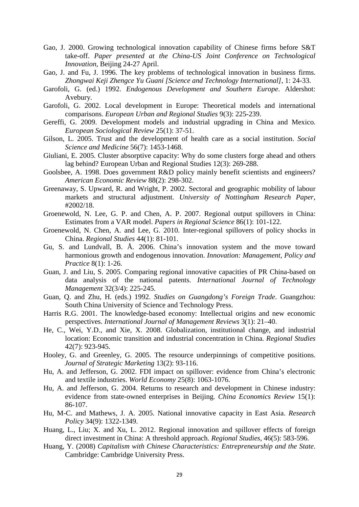- Gao, J. 2000. Growing technological innovation capability of Chinese firms before S&T take-off. *Paper presented at the China-US Joint Conference on Technological Innovation*, Beijing 24-27 April.
- Gao, J. and Fu, J. 1996. The key problems of technological innovation in business firms. *Zhongwai Keji Zhengce Yu Guani [Science and Technology International]*, 1: 24-33.
- Garofoli, G. (ed.) 1992. *Endogenous Development and Southern Europe*. Aldershot: Avebury.
- Garofoli, G. 2002. Local development in Europe: Theoretical models and international comparisons. *European Urban and Regional Studies* 9(3): 225-239.
- Gereffi, G. 2009. Development models and industrial upgrading in China and Mexico. *European Sociological Review* 25(1): 37-51.
- Gilson, L. 2005. Trust and the development of health care as a social institution. *Social Science and Medicine* 56(7): 1453-1468.
- Giuliani, E. 2005. Cluster absorptive capacity: Why do some clusters forge ahead and others lag behind? European Urban and Regional Studies 12(3): 269-288.
- Goolsbee, A. 1998. Does government R&D policy mainly benefit scientists and engineers? *American Economic Review* 88(2): 298-302.
- Greenaway, S. Upward, R. and Wright, P. 2002. Sectoral and geographic mobility of labour markets and structural adjustment. *University of Nottingham Research Paper*, #2002/18.
- Groenewold, N. Lee, G. P. and Chen, A. P. 2007. Regional output spillovers in China: Estimates from a VAR model. *Papers in Regional Science* 86(1): 101-122.
- Groenewold, N. Chen, A. and Lee, G. 2010. Inter-regional spillovers of policy shocks in China. *Regional Studies* 44(1): 81-101.
- Gu, S. and Lundvall, B. Å. 2006. China's innovation system and the move toward harmonious growth and endogenous innovation. *Innovation: Management, Policy and Practice* 8(1): 1-26.
- Guan, J. and Liu, S. 2005. Comparing regional innovative capacities of PR China-based on data analysis of the national patents. *International Journal of Technology Management* 32(3/4): 225-245.
- Guan, Q. and Zhu, H. (eds.) 1992. *Studies on Guangdong's Foreign Trade*. Guangzhou: South China University of Science and Technology Press.
- Harris R.G. 2001. The knowledge-based economy: Intellectual origins and new economic perspectives. *International Journal of Management Reviews* 3(1): 21–40.
- He, C., Wei, Y.D., and Xie, X. 2008. Globalization, institutional change, and industrial location: Economic transition and industrial concentration in China. *Regional Studies* 42(7): 923-945.
- Hooley, G. and Greenley, G. 2005. The resource underpinnings of competitive positions. *Journal of Strategic Marketing* 13(2): 93-116.
- Hu, A. and Jefferson, G. 2002. FDI impact on spillover: evidence from China's electronic and textile industries. *World Economy* 25(8): 1063-1076.
- Hu, A. and Jefferson, G. 2004. Returns to research and development in Chinese industry: evidence from state-owned enterprises in Beijing. *China Economics Review* 15(1): 86-107.
- Hu, M-C. and Mathews, J. A. 2005. National innovative capacity in East Asia. *Research Policy* 34(9): 1322-1349.
- Huang, L., Liu; X. and Xu, L. 2012. Regional innovation and spillover effects of foreign direct investment in China: A threshold approach. *Regional Studies*, 46(5): 583-596.
- Huang, Y. (2008) *Capitalism with Chinese Characteristics: Entrepreneurship and the State*. Cambridge: Cambridge University Press.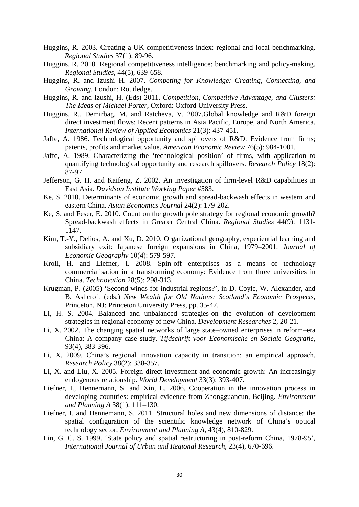- Huggins, R. 2003. Creating a UK competitiveness index: regional and local benchmarking. *Regional Studies* 37(1): 89-96.
- Huggins, R. 2010. Regional competitiveness intelligence: benchmarking and policy-making. *Regional Studies*, 44(5), 639-658.
- Huggins, R. and Izushi H. 2007. *Competing for Knowledge: Creating, Connecting, and Growing*. London: Routledge.
- Huggins, R. and Izushi, H. (Eds) 2011. *Competition, Competitive Advantage, and Clusters: The Ideas of Michael Porter*, Oxford: Oxford University Press.
- Huggins, R., Demirbag, M. and Ratcheva, V. 2007.Global knowledge and R&D foreign direct investment flows: Recent patterns in Asia Pacific, Europe, and North America. *International Review of Applied Economics* 21(3): 437-451.
- Jaffe, A. 1986. Technological opportunity and spillovers of R&D: Evidence from firms; patents, profits and market value. *American Economic Review* 76(5): 984-1001.
- Jaffe, A. 1989. Characterizing the 'technological position' of firms, with application to quantifying technological opportunity and research spillovers. *Research Policy* 18(2): 87-97.
- Jefferson, G. H. and Kaifeng, Z. 2002. An investigation of firm-level R&D capabilities in East Asia. *Davidson Institute Working Paper* #583.
- Ke, S. 2010. Determinants of economic growth and spread-backwash effects in western and eastern China. *Asian Economics Journal* 24(2): 179-202.
- Ke, S. and Feser, E. 2010. Count on the growth pole strategy for regional economic growth? Spread-backwash effects in Greater Central China. *Regional Studies* 44(9): 1131- 1147.
- Kim, T.-Y., Delios, A. and Xu, D. 2010. Organizational geography, experiential learning and subsidiary exit: Japanese foreign expansions in China, 1979–2001. *Journal of Economic Geography* 10(4): 579-597.
- Kroll, H. and Liefner, I. 2008. Spin-off enterprises as a means of technology commercialisation in a transforming economy: Evidence from three universities in China. *Technovation* 28(5): 298-313.
- Krugman, P. (2005) 'Second winds for industrial regions?', in D. Coyle, W. Alexander, and B. Ashcroft (eds.) *New Wealth for Old Nations: Scotland's Economic Prospects*, Princeton, NJ: Princeton University Press, pp. 35-47.
- Li, H. S. 2004. Balanced and unbalanced strategies-on the evolution of development strategies in regional economy of new China. *Development Researches* 2, 20-21.
- Li, X. 2002. The changing spatial networks of large state–owned enterprises in reform–era China: A company case study. *Tijdschrift voor Economische en Sociale Geografie*, 93(4), 383-396.
- Li, X. 2009. China's regional innovation capacity in transition: an empirical approach. *Research Policy* 38(2): 338-357.
- Li, X. and Liu, X. 2005. Foreign direct investment and economic growth: An increasingly endogenous relationship. *World Development* 33(3): 393-407.
- Liefner, I., Hennemann, S. and Xin, L. 2006. Cooperation in the innovation process in developing countries: empirical evidence from Zhongguancun, Beijing. *Environment and Planning A* 38(1): 111–130.
- Liefner, I. and Hennemann, S. 2011. Structural holes and new dimensions of distance: the spatial configuration of the scientific knowledge network of China's optical technology sector, *Environment and Planning A*, 43(4), 810-829.
- Lin, G. C. S. 1999. 'State policy and spatial restructuring in post-reform China, 1978-95', *International Journal of Urban and Regional Research*, 23(4), 670-696.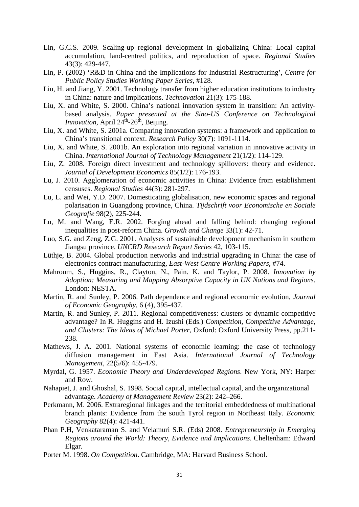- Lin, G.C.S. 2009. Scaling-up regional development in globalizing China: Local capital accumulation, land-centred politics, and reproduction of space. *Regional Studies* 43(3): 429-447.
- Lin, P. (2002) 'R&D in China and the Implications for Industrial Restructuring', *Centre for Public Policy Studies Working Paper Series*, #128.
- Liu, H. and Jiang, Y. 2001. Technology transfer from higher education institutions to industry in China: nature and implications. *Technovation* 21(3): 175-188.
- Liu, X. and White, S. 2000. China's national innovation system in transition: An activitybased analysis. *Paper presented at the Sino-US Conference on Technological Innovation*, April 24<sup>th</sup>-26<sup>th</sup>, Beijing.
- Liu, X. and White, S. 2001a. Comparing innovation systems: a framework and application to China's transitional context. *Research Policy* 30(7): 1091-1114.
- Liu, X. and White, S. 2001b. An exploration into regional variation in innovative activity in China. *International Journal of Technology Management* 21(1/2): 114-129.
- Liu, Z. 2008. Foreign direct investment and technology spillovers: theory and evidence. *Journal of Development Economics* 85(1/2): 176-193.
- Lu, J. 2010. Agglomeration of economic activities in China: Evidence from establishment censuses. *Regional Studies* 44(3): 281-297.
- Lu, L. and Wei, Y.D. 2007. Domesticating globalisation, new economic spaces and regional polarisation in Guangdong province, China. *Tijdschrift voor Economische en Sociale Geografie* 98(2), 225-244.
- Lu, M. and Wang, E.R. 2002. Forging ahead and falling behind: changing regional inequalities in post-reform China. *Growth and Change* 33(1): 42-71.
- Luo, S.G. and Zeng, Z.G. 2001. Analyses of sustainable development mechanism in southern Jiangsu province. *UNCRD Research Report Series* 42, 103-115.
- Lüthje, B. 2004. Global production networks and industrial upgrading in China: the case of electronics contract manufacturing, *East-West Centre Working Papers*, #74.
- Mahroum, S., Huggins, R., Clayton, N., Pain. K. and Taylor, P. 2008. *Innovation by Adoption: Measuring and Mapping Absorptive Capacity in UK Nations and Regions*. London: NESTA.
- Martin, R. and Sunley, P. 2006. Path dependence and regional economic evolution, *Journal of Economic Geography*, 6 (4), 395-437.
- Martin, R. and Sunley, P. 2011. Regional competitiveness: clusters or dynamic competitive advantage? In R. Huggins and H. Izushi (Eds.) *Competition, Competitive Advantage, and Clusters: The Ideas of Michael Porter*, Oxford: Oxford University Press, pp.211- 238.
- Mathews, J. A. 2001. National systems of economic learning: the case of technology diffusion management in East Asia. *International Journal of Technology Management*, 22(5/6): 455-479.
- Myrdal, G. 1957. *Economic Theory and Underdeveloped Regions*. New York, NY: Harper and Row.
- Nahapiet, J. and Ghoshal, S. 1998. Social capital, intellectual capital, and the organizational advantage. *Academy of Management Review* 23(2): 242–266.
- Perkmann, M. 2006. Extraregional linkages and the territorial embeddedness of multinational branch plants: Evidence from the south Tyrol region in Northeast Italy. *Economic Geography* 82(4): 421-441.
- Phan P.H, Venkataraman S. and Velamuri S.R. (Eds) 2008. *Entrepreneurship in Emerging Regions around the World: Theory, Evidence and Implications*. Cheltenham: Edward Elgar.
- Porter M. 1998. *On Competition*. Cambridge, MA: Harvard Business School.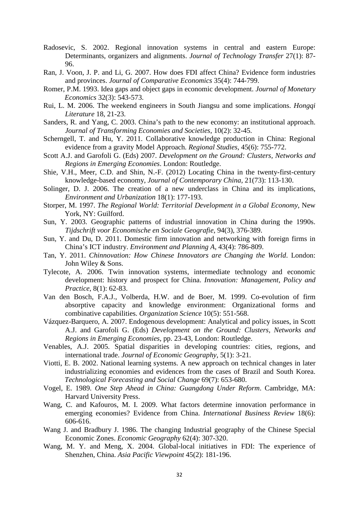- Radosevic, S. 2002. Regional innovation systems in central and eastern Europe: Determinants, organizers and alignments. *Journal of Technology Transfer* 27(1): 87- 96.
- Ran, J. Voon, J. P. and Li, G. 2007. How does FDI affect China? Evidence form industries and provinces. *Journal of Comparative Economics* 35(4): 744-799.
- Romer, P.M. 1993. Idea gaps and object gaps in economic development. *Journal of Monetary Economics* 32(3): 543-573.
- Rui, L. M. 2006. The weekend engineers in South Jiangsu and some implications. *Hongqi Literature* 18, 21-23.
- Sanders, R. and Yang, C. 2003. China's path to the new economy: an institutional approach. *Journal of Transforming Economies and Societies*, 10(2): 32-45.
- Scherngell, T. and Hu, Y. 2011. Collaborative knowledge production in China: Regional evidence from a gravity Model Approach. *Regional Studies*, 45(6): 755-772.
- Scott A.J. and Garofoli G. (Eds) 2007. *Development on the Ground: Clusters, Networks and Regions in Emerging Economies*. London: Routledge.
- Shie, V.H., Meer, C.D. and Shin, N.-F. (2012) Locating China in the twenty-first-century knowledge-based economy, *Journal of Contemporary China*, 21(73): 113-130.
- Solinger, D. J. 2006. The creation of a new underclass in China and its implications, *Environment and Urbanization* 18(1): 177-193.
- Storper, M. 1997. *The Regional World: Territorial Development in a Global Economy*, New York, NY: Guilford.
- Sun, Y. 2003. Geographic patterns of industrial innovation in China during the 1990s. *Tijdschrift voor Economische en Sociale Geografie*, 94(3), 376-389.
- Sun, Y. and Du, D. 2011. Domestic firm innovation and networking with foreign firms in China's ICT industry. *Environment and Planning A*, 43(4): 786-809.
- Tan, Y. 2011. *Chinnovation: How Chinese Innovators are Changing the World*. London: John Wiley & Sons.
- Tylecote, A. 2006. Twin innovation systems, intermediate technology and economic development: history and prospect for China. *Innovation: Management, Policy and Practice*, 8(1): 62-83.
- Van den Bosch, F.A.J., Volberda, H.W. and de Boer, M. 1999. Co-evolution of firm absorptive capacity and knowledge environment: Organizational forms and combinative capabilities. *Organization Science* 10(5): 551-568.
- Vázquez-Barquero, A. 2007. Endogenous development: Analytical and policy issues, in Scott A.J. and Garofoli G. (Eds) *Development on the Ground: Clusters, Networks and Regions in Emerging Economies*, pp. 23-43, London: Routledge.
- Venables, A.J. 2005. Spatial disparities in developing countries: cities, regions, and international trade. *Journal of Economic Geography*, 5(1): 3-21.
- Viotti, E. B. 2002. National learning systems. A new approach on technical changes in later industrializing economies and evidences from the cases of Brazil and South Korea. *Technological Forecasting and Social Change* 69(7): 653-680.
- Vogel, E. 1989. *One Step Ahead in China: Guangdong Under Reform*. Cambridge, MA: Harvard University Press.
- Wang, C. and Kafouros, M. I. 2009. What factors determine innovation performance in emerging economies? Evidence from China. *International Business Review* 18(6): 606-616.
- Wang J. and Bradbury J. 1986. The changing Industrial geography of the Chinese Special Economic Zones. *Economic Geography* 62(4): 307-320.
- Wang, M. Y. and Meng, X. 2004. Global-local initiatives in FDI: The experience of Shenzhen, China. *Asia Pacific Viewpoint* 45(2): 181-196.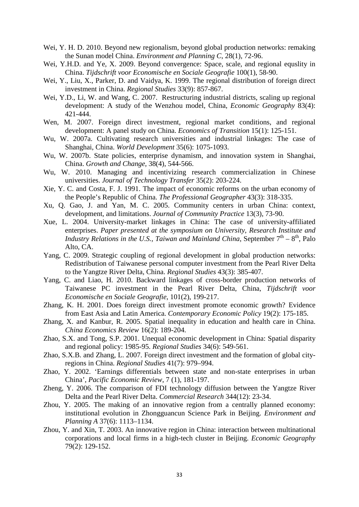- Wei, Y. H. D. 2010. Beyond new regionalism, beyond global production networks: remaking the Sunan model China. *Environment and Planning C*, 28(1), 72-96.
- Wei, Y.H.D. and Ye, X. 2009. Beyond convergence: Space, scale, and regional equality in China. *Tijdschrift voor Economische en Sociale Geografie* 100(1), 58-90.
- Wei, Y., Liu, X., Parker, D. and Vaidya, K. 1999. The regional distribution of foreign direct investment in China. *Regional Studies* 33(9): 857-867.
- Wei, Y.D., Li, W. and Wang, C. 2007. Restructuring industrial districts, scaling up regional development: A study of the Wenzhou model, China, *Economic Geography* 83(4): 421-444.
- Wen, M. 2007. Foreign direct investment, regional market conditions, and regional development: A panel study on China. *Economics of Transition* 15(1): 125-151.
- Wu, W. 2007a. Cultivating research universities and industrial linkages: The case of Shanghai, China. *World Development* 35(6): 1075-1093.
- Wu, W. 2007b. State policies, enterprise dynamism, and innovation system in Shanghai, China. *Growth and Change*, 38(4), 544-566.
- Wu, W. 2010. Managing and incentivizing research commercialization in Chinese universities. *Journal of Technology Transfer* 35(2): 203-224.
- Xie, Y. C. and Costa, F. J. 1991. The impact of economic reforms on the urban economy of the People's Republic of China. *The Professional Geographer* 43(3): 318-335.
- Xu, Q. Gao, J. and Yan, M. C. 2005. Community centers in urban China: context, development, and limitations. *Journal of Community Practice* 13(3), 73-90.
- Xue, L. 2004. University-market linkages in China: The case of university-affiliated enterprises. *Paper presented at the symposium on University, Research Institute and Industry Relations in the U.S., Taiwan and Mainland China*, September  $7<sup>th</sup> - 8<sup>th</sup>$ , Palo Alto, CA.
- Yang, C. 2009. Strategic coupling of regional development in global production networks: Redistribution of Taiwanese personal computer investment from the Pearl River Delta to the Yangtze River Delta, China. *Regional Studies* 43(3): 385-407.
- Yang, C. and Liao, H. 2010. Backward linkages of cross-border production networks of Taiwanese PC investment in the Pearl River Delta, China, *Tijdschrift voor Economische en Sociale Geografie*, 101(2), 199-217.
- Zhang, K. H. 2001. Does foreign direct investment promote economic growth? Evidence from East Asia and Latin America. *Contemporary Economic Policy* 19(2): 175-185.
- Zhang, X. and Kanbur, R. 2005. Spatial inequality in education and health care in China. *China Economics Review* 16(2): 189-204.
- Zhao, S.X. and Tong, S.P. 2001. Unequal economic development in China: Spatial disparity and regional policy: 1985-95. *Regional Studies* 34(6): 549-561.
- Zhao, S.X.B. and Zhang, L. 2007. Foreign direct investment and the formation of global cityregions in China. *Regional Studies* 41(7): 979–994.
- Zhao, Y. 2002. 'Earnings differentials between state and non-state enterprises in urban China', *Pacific Economic Review*, 7 (1), 181-197.
- Zheng, Y. 2006. The comparison of FDI technology diffusion between the Yangtze River Delta and the Pearl River Delta. *Commercial Research* 344(12): 23-34.
- Zhou, Y. 2005. The making of an innovative region from a centrally planned economy: institutional evolution in Zhongguancun Science Park in Beijing. *Environment and Planning A* 37(6): 1113–1134.
- Zhou, Y. and Xin, T. 2003. An innovative region in China: interaction between multinational corporations and local firms in a high-tech cluster in Beijing. *Economic Geography* 79(2): 129-152.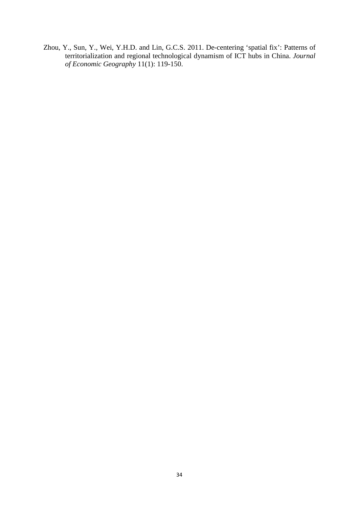Zhou, Y., Sun, Y., Wei, Y.H.D. and Lin, G.C.S. 2011. De-centering 'spatial fix': Patterns of territorialization and regional technological dynamism of ICT hubs in China. *Journal of Economic Geography* 11(1): 119-150.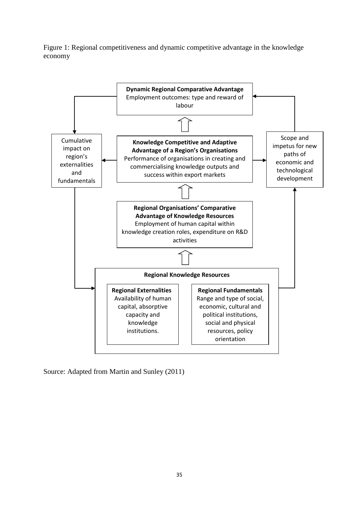Figure 1: Regional competitiveness and dynamic competitive advantage in the knowledge economy



Source: Adapted from Martin and Sunley (2011)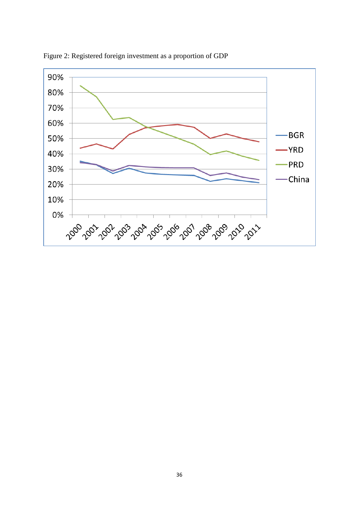

Figure 2: Registered foreign investment as a proportion of GDP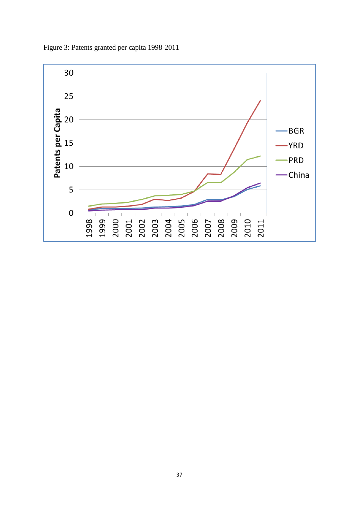

Figure 3: Patents granted per capita 1998-2011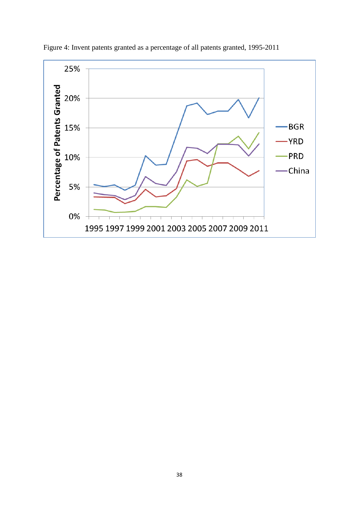

Figure 4: Invent patents granted as a percentage of all patents granted, 1995-2011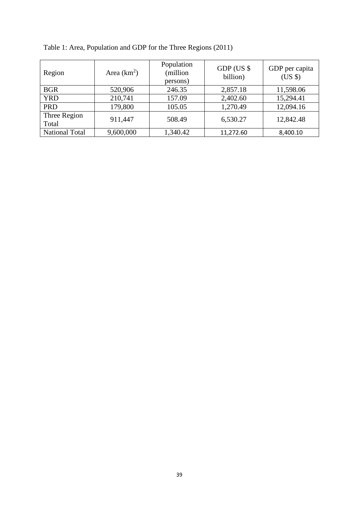| Region                | Area $(km^2)$ | Population<br>(million<br>persons) | $GDP$ (US $$$<br>billion) | GDP per capita<br>$(US \$ |
|-----------------------|---------------|------------------------------------|---------------------------|---------------------------|
| <b>BGR</b>            | 520,906       | 246.35                             | 2,857.18                  | 11,598.06                 |
| <b>YRD</b>            | 210,741       | 157.09                             | 2,402.60                  | 15,294.41                 |
| <b>PRD</b>            | 179,800       | 105.05                             | 1,270.49                  | 12,094.16                 |
| Three Region<br>Total | 911,447       | 508.49                             | 6,530.27                  | 12,842.48                 |
| <b>National Total</b> | 9,600,000     | 1,340.42                           | 11,272.60                 | 8,400.10                  |

Table 1: Area, Population and GDP for the Three Regions (2011)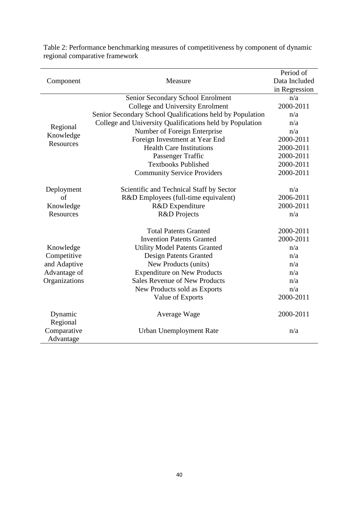|                        |                                                           | Period of     |
|------------------------|-----------------------------------------------------------|---------------|
| Component              | Measure                                                   | Data Included |
|                        |                                                           | in Regression |
|                        | Senior Secondary School Enrolment                         | n/a           |
|                        | <b>College and University Enrolment</b>                   | 2000-2011     |
|                        | Senior Secondary School Qualifications held by Population | n/a           |
| Regional               | College and University Qualifications held by Population  | n/a           |
|                        | Number of Foreign Enterprise                              | n/a           |
| Knowledge<br>Resources | Foreign Investment at Year End                            | 2000-2011     |
|                        | <b>Health Care Institutions</b>                           | 2000-2011     |
|                        | Passenger Traffic                                         | 2000-2011     |
|                        | <b>Textbooks Published</b>                                | 2000-2011     |
|                        | <b>Community Service Providers</b>                        | 2000-2011     |
|                        |                                                           |               |
| Deployment             | Scientific and Technical Staff by Sector                  | n/a           |
| of                     | R&D Employees (full-time equivalent)                      | 2006-2011     |
| Knowledge              | R&D Expenditure                                           | 2000-2011     |
| Resources              | R&D Projects                                              | n/a           |
|                        | <b>Total Patents Granted</b>                              | 2000-2011     |
|                        | <b>Invention Patents Granted</b>                          | 2000-2011     |
| Knowledge              | <b>Utility Model Patents Granted</b>                      | n/a           |
| Competitive            | Design Patents Granted                                    | n/a           |
| and Adaptive           | New Products (units)                                      | n/a           |
| Advantage of           | <b>Expenditure on New Products</b>                        | n/a           |
| Organizations          | <b>Sales Revenue of New Products</b>                      | n/a           |
|                        | New Products sold as Exports                              | n/a           |
|                        | Value of Exports                                          | 2000-2011     |
|                        |                                                           |               |
| Dynamic                | Average Wage                                              | 2000-2011     |
| Regional               |                                                           |               |
| Comparative            | <b>Urban Unemployment Rate</b>                            | n/a           |
| Advantage              |                                                           |               |

Table 2: Performance benchmarking measures of competitiveness by component of dynamic regional comparative framework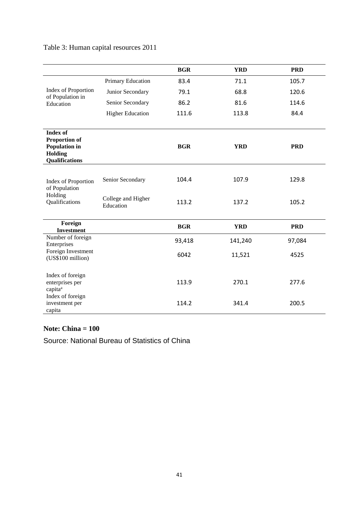|                                                                                                            |                                 | <b>BGR</b> | <b>YRD</b> | <b>PRD</b> |
|------------------------------------------------------------------------------------------------------------|---------------------------------|------------|------------|------------|
|                                                                                                            | Primary Education               | 83.4       | 71.1       | 105.7      |
| Index of Proportion<br>of Population in                                                                    | Junior Secondary                | 79.1       | 68.8       | 120.6      |
| Education                                                                                                  | Senior Secondary                | 86.2       | 81.6       | 114.6      |
|                                                                                                            | <b>Higher Education</b>         | 111.6      | 113.8      | 84.4       |
| <b>Index of</b><br><b>Proportion of</b><br><b>Population in</b><br><b>Holding</b><br><b>Qualifications</b> |                                 | <b>BGR</b> | <b>YRD</b> | <b>PRD</b> |
| Index of Proportion<br>of Population<br>Holding<br>Qualifications                                          | Senior Secondary                | 104.4      | 107.9      | 129.8      |
|                                                                                                            | College and Higher<br>Education | 113.2      | 137.2      | 105.2      |
| Foreign<br><b>Investment</b>                                                                               |                                 | <b>BGR</b> | <b>YRD</b> | <b>PRD</b> |
| Number of foreign<br>Enterprises                                                                           |                                 | 93,418     | 141,240    | 97,084     |
| Foreign Investment<br>(US\$100 million)                                                                    |                                 | 6042       | 11,521     | 4525       |
| Index of foreign<br>enterprises per<br>capita <sup>a</sup>                                                 |                                 | 113.9      | 270.1      | 277.6      |
| Index of foreign<br>investment per<br>capita                                                               |                                 | 114.2      | 341.4      | 200.5      |

# Table 3: Human capital resources 2011

## **Note: China = 100**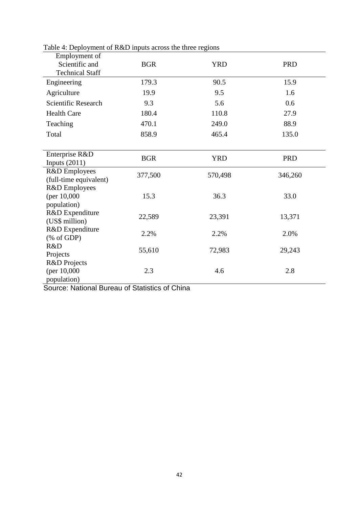| radio +. Deproyment or K&D inputs across the time regions<br>Employment of |            |            |            |  |
|----------------------------------------------------------------------------|------------|------------|------------|--|
| Scientific and                                                             | <b>BGR</b> | <b>YRD</b> | <b>PRD</b> |  |
| <b>Technical Staff</b>                                                     |            |            |            |  |
| Engineering                                                                | 179.3      | 90.5       | 15.9       |  |
| Agriculture                                                                | 19.9       | 9.5        | 1.6        |  |
| Scientific Research                                                        | 9.3        | 5.6        | 0.6        |  |
| <b>Health Care</b>                                                         | 180.4      | 110.8      | 27.9       |  |
| Teaching                                                                   | 470.1      | 249.0      | 88.9       |  |
| Total                                                                      | 858.9      | 465.4      | 135.0      |  |
|                                                                            |            |            |            |  |
| Enterprise R&D                                                             | <b>BGR</b> | <b>YRD</b> | <b>PRD</b> |  |
| Inputs $(2011)$                                                            |            |            |            |  |
| R&D Employees                                                              | 377,500    | 570,498    | 346,260    |  |
| (full-time equivalent)                                                     |            |            |            |  |
| R&D Employees                                                              |            |            |            |  |
| (per $10,000$                                                              | 15.3       | 36.3       | 33.0       |  |
| population)<br>R&D Expenditure                                             |            |            |            |  |
| (US\$ million)                                                             | 22,589     | 23,391     | 13,371     |  |
| R&D Expenditure                                                            |            |            |            |  |
| $(% \mathcal{L}_{0}^{\infty}$ (% of GDP)                                   | 2.2%       | 2.2%       | 2.0%       |  |
| R&D                                                                        |            |            |            |  |
| Projects                                                                   | 55,610     | 72,983     | 29,243     |  |
| R&D Projects                                                               |            |            |            |  |
| (per 10,000)                                                               | 2.3        | 4.6        | 2.8        |  |
| population)                                                                |            |            |            |  |

Table 4: Deployment of R&D inputs across the three regions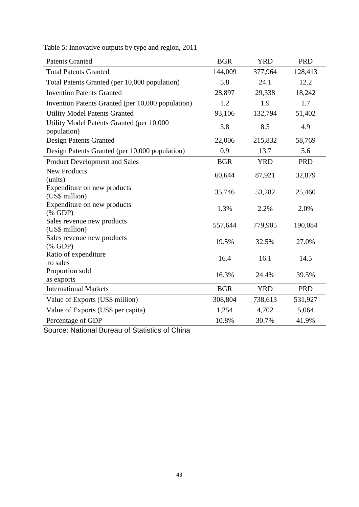| <b>Patents Granted</b>                                   | <b>BGR</b> | <b>YRD</b> | <b>PRD</b> |
|----------------------------------------------------------|------------|------------|------------|
| <b>Total Patents Granted</b>                             | 144,009    | 377,964    | 128,413    |
| Total Patents Granted (per 10,000 population)            | 5.8        | 24.1       | 12.2       |
| <b>Invention Patents Granted</b>                         | 28,897     | 29,338     | 18,242     |
| Invention Patents Granted (per 10,000 population)        | 1.2        | 1.9        | 1.7        |
| <b>Utility Model Patents Granted</b>                     | 93,106     | 132,794    | 51,402     |
| Utility Model Patents Granted (per 10,000<br>population) | 3.8        | 8.5        | 4.9        |
| Design Patents Granted                                   | 22,006     | 215,832    | 58,769     |
| Design Patents Granted (per 10,000 population)           | 0.9        | 13.7       | 5.6        |
| Product Development and Sales                            | <b>BGR</b> | <b>YRD</b> | <b>PRD</b> |
| <b>New Products</b><br>(units)                           | 60,644     | 87,921     | 32,879     |
| Expenditure on new products<br>(US\$ million)            | 35,746     | 53,282     | 25,460     |
| Expenditure on new products<br>$(% \mathbf{GDP})$        | 1.3%       | 2.2%       | 2.0%       |
| Sales revenue new products<br>(US\$ million)             | 557,644    | 779,905    | 190,084    |
| Sales revenue new products<br>$(% \mathbf{GDP})$         | 19.5%      | 32.5%      | 27.0%      |
| Ratio of expenditure<br>to sales                         | 16.4       | 16.1       | 14.5       |
| Proportion sold                                          | 16.3%      | 24.4%      | 39.5%      |
| as exports                                               |            |            |            |
| <b>International Markets</b>                             | <b>BGR</b> | <b>YRD</b> | <b>PRD</b> |
| Value of Exports (US\$ million)                          | 308,804    | 738,613    | 531,927    |
| Value of Exports (US\$ per capita)                       | 1,254      | 4,702      | 5,064      |
| Percentage of GDP                                        | 10.8%      | 30.7%      | 41.9%      |

Table 5: Innovative outputs by type and region, 2011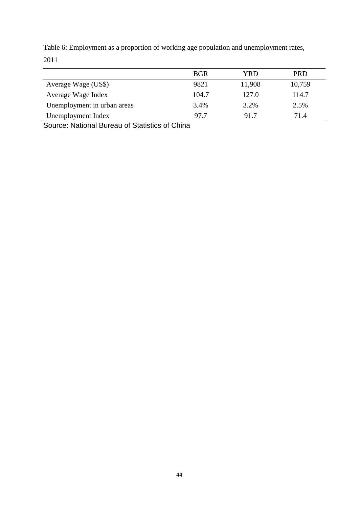|                             | <b>BGR</b> | YRD    | <b>PRD</b> |
|-----------------------------|------------|--------|------------|
| Average Wage (US\$)         | 9821       | 11,908 | 10,759     |
| Average Wage Index          | 104.7      | 127.0  | 114.7      |
| Unemployment in urban areas | 3.4%       | 3.2%   | 2.5%       |
| Unemployment Index          | 97.7       | 91.7   | 71.4       |
| .                           | .          |        |            |

Table 6: Employment as a proportion of working age population and unemployment rates, 2011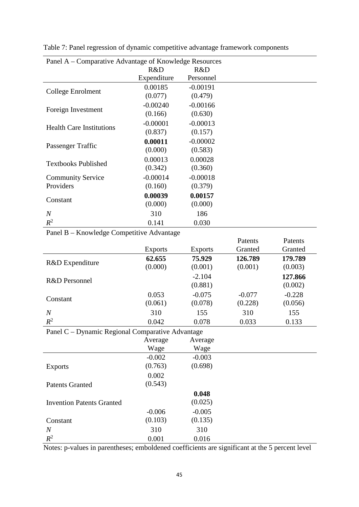| Panel A – Comparative Advantage of Knowledge Resources |             |            |  |  |
|--------------------------------------------------------|-------------|------------|--|--|
|                                                        | R&D         | R&D        |  |  |
|                                                        | Expenditure | Personnel  |  |  |
|                                                        | 0.00185     | $-0.00191$ |  |  |
| College Enrolment                                      | (0.077)     | (0.479)    |  |  |
|                                                        | $-0.00240$  | $-0.00166$ |  |  |
| Foreign Investment                                     | (0.166)     | (0.630)    |  |  |
|                                                        | $-0.00001$  | $-0.00013$ |  |  |
| <b>Health Care Institutions</b>                        | (0.837)     | (0.157)    |  |  |
|                                                        | 0.00011     | $-0.00002$ |  |  |
| Passenger Traffic                                      | (0.000)     | (0.583)    |  |  |
|                                                        | 0.00013     | 0.00028    |  |  |
| <b>Textbooks Published</b>                             | (0.342)     | (0.360)    |  |  |
| <b>Community Service</b>                               | $-0.00014$  | $-0.00018$ |  |  |
| Providers                                              | (0.160)     | (0.379)    |  |  |
|                                                        | 0.00039     | 0.00157    |  |  |
| Constant                                               | (0.000)     | (0.000)    |  |  |
| $\boldsymbol{N}$                                       | 310         | 186        |  |  |
| $R^2$                                                  | 0.141       | 0.030      |  |  |

Table 7: Panel regression of dynamic competitive advantage framework components

Panel B – Knowledge Competitive Advantage

|                                                  |                |                | Patents  | Patents  |
|--------------------------------------------------|----------------|----------------|----------|----------|
|                                                  | <b>Exports</b> | <b>Exports</b> | Granted  | Granted  |
|                                                  | 62.655         | 75.929         | 126.789  | 179.789  |
| R&D Expenditure                                  | (0.000)        | (0.001)        | (0.001)  | (0.003)  |
|                                                  |                | $-2.104$       |          | 127.866  |
| R&D Personnel                                    |                | (0.881)        |          | (0.002)  |
|                                                  | 0.053          | $-0.075$       | $-0.077$ | $-0.228$ |
| Constant                                         | (0.061)        | (0.078)        | (0.228)  | (0.056)  |
| $\overline{N}$                                   | 310            | 155            | 310      | 155      |
| $R^2$                                            | 0.042          | 0.078          | 0.033    | 0.133    |
| Panel C – Dynamic Regional Comparative Advantage |                |                |          |          |
|                                                  | Average        | Average        |          |          |
|                                                  | Wage           | Wage           |          |          |
|                                                  | $-0.002$       | $-0.003$       |          |          |
| <b>Exports</b>                                   | (0.763)        | (0.698)        |          |          |
|                                                  | 0.002          |                |          |          |
| <b>Patents Granted</b>                           | (0.543)        |                |          |          |
|                                                  |                | 0.048          |          |          |
| <b>Invention Patents Granted</b>                 |                | (0.025)        |          |          |
|                                                  | $-0.006$       | $-0.005$       |          |          |
| Constant                                         | (0.103)        | (0.135)        |          |          |
| $\overline{N}$                                   | 310            | 310            |          |          |
| $R^2$                                            | 0.001          | 0.016          |          |          |

Notes: p-values in parentheses; emboldened coefficients are significant at the 5 percent level